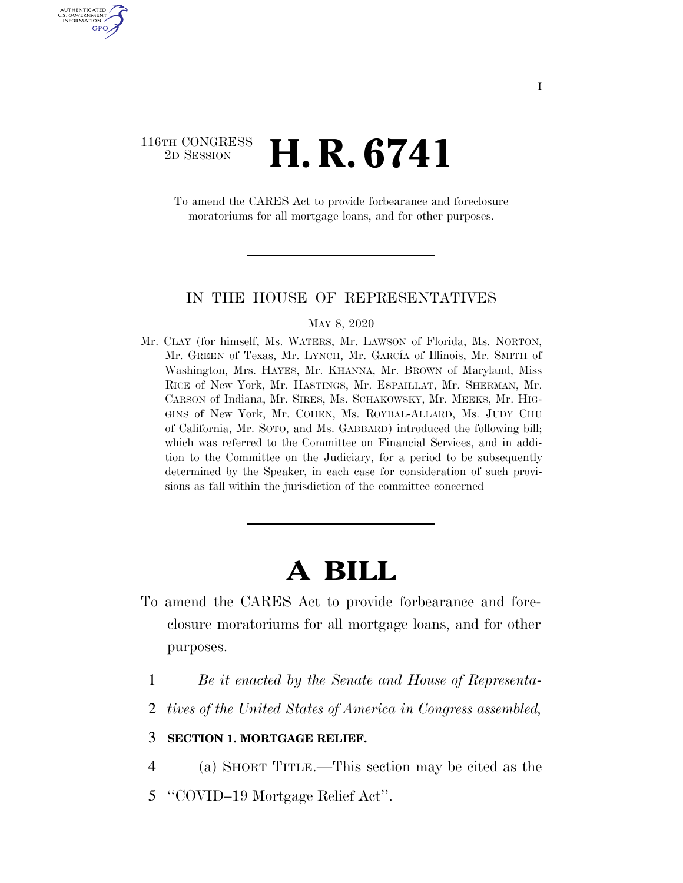## 116TH CONGRESS <sup>2D SESSION</sup> **H. R. 6741**

U.S. GOVERNMENT GPO

> To amend the CARES Act to provide forbearance and foreclosure moratoriums for all mortgage loans, and for other purposes.

## IN THE HOUSE OF REPRESENTATIVES

MAY 8, 2020

Mr. CLAY (for himself, Ms. WATERS, Mr. LAWSON of Florida, Ms. NORTON, Mr. GREEN of Texas, Mr. LYNCH, Mr. GARCÍA of Illinois, Mr. SMITH of Washington, Mrs. HAYES, Mr. KHANNA, Mr. BROWN of Maryland, Miss RICE of New York, Mr. HASTINGS, Mr. ESPAILLAT, Mr. SHERMAN, Mr. CARSON of Indiana, Mr. SIRES, Ms. SCHAKOWSKY, Mr. MEEKS, Mr. HIG-GINS of New York, Mr. COHEN, Ms. ROYBAL-ALLARD, Ms. JUDY CHU of California, Mr. SOTO, and Ms. GABBARD) introduced the following bill; which was referred to the Committee on Financial Services, and in addition to the Committee on the Judiciary, for a period to be subsequently determined by the Speaker, in each case for consideration of such provisions as fall within the jurisdiction of the committee concerned

## **A BILL**

- To amend the CARES Act to provide forbearance and foreclosure moratoriums for all mortgage loans, and for other purposes.
	- 1 *Be it enacted by the Senate and House of Representa-*
	- 2 *tives of the United States of America in Congress assembled,*

## 3 **SECTION 1. MORTGAGE RELIEF.**

4 (a) SHORT TITLE.—This section may be cited as the

5 ''COVID–19 Mortgage Relief Act''.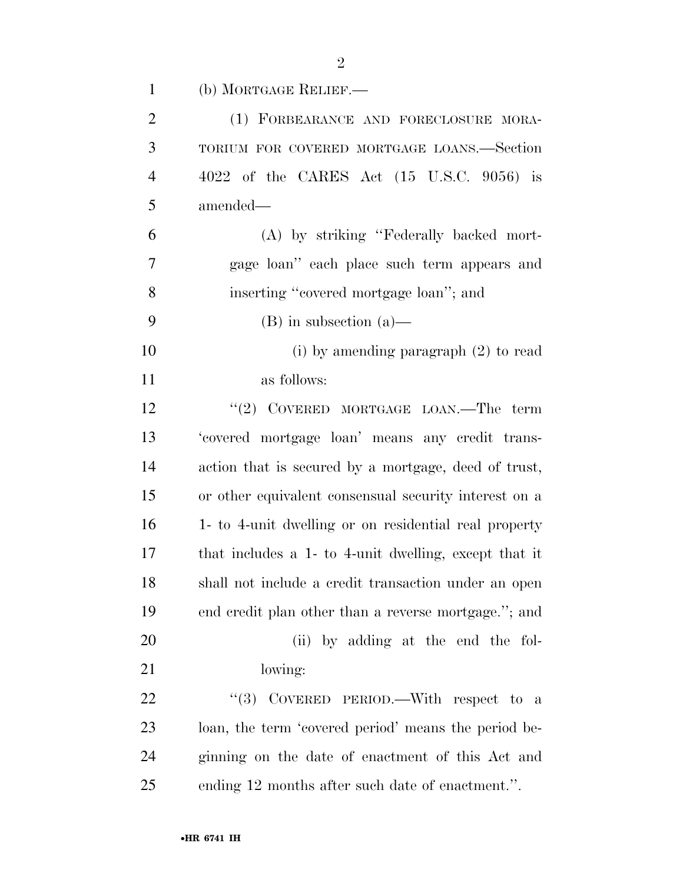| $\mathbf{1}$   | (b) MORTGAGE RELIEF.—                                 |
|----------------|-------------------------------------------------------|
| $\mathfrak{2}$ | (1) FORBEARANCE AND FORECLOSURE MORA-                 |
| 3              | TORIUM FOR COVERED MORTGAGE LOANS.—Section            |
| $\overline{4}$ | 4022 of the CARES Act (15 U.S.C. 9056) is             |
| 5              | amended—                                              |
| 6              | (A) by striking "Federally backed mort-               |
| 7              | gage loan" each place such term appears and           |
| 8              | inserting "covered mortgage loan"; and                |
| 9              | $(B)$ in subsection $(a)$ —                           |
| 10             | (i) by amending paragraph $(2)$ to read               |
| 11             | as follows:                                           |
| 12             | "(2) COVERED MORTGAGE LOAN.—The term                  |
| 13             | 'covered mortgage loan' means any credit trans-       |
| 14             | action that is secured by a mortgage, deed of trust,  |
| 15             | or other equivalent consensual security interest on a |
| 16             | 1- to 4-unit dwelling or on residential real property |
| 17             | that includes a 1- to 4-unit dwelling, except that it |
| 18             | shall not include a credit transaction under an open  |
| 19             | end credit plan other than a reverse mortgage."; and  |
| 20             | (ii) by adding at the end the fol-                    |
| 21             | lowing:                                               |
| 22             | "(3) COVERED PERIOD.—With respect to a                |
| 23             | loan, the term 'covered period' means the period be-  |
| 24             | ginning on the date of enactment of this Act and      |
| 25             | ending 12 months after such date of enactment.".      |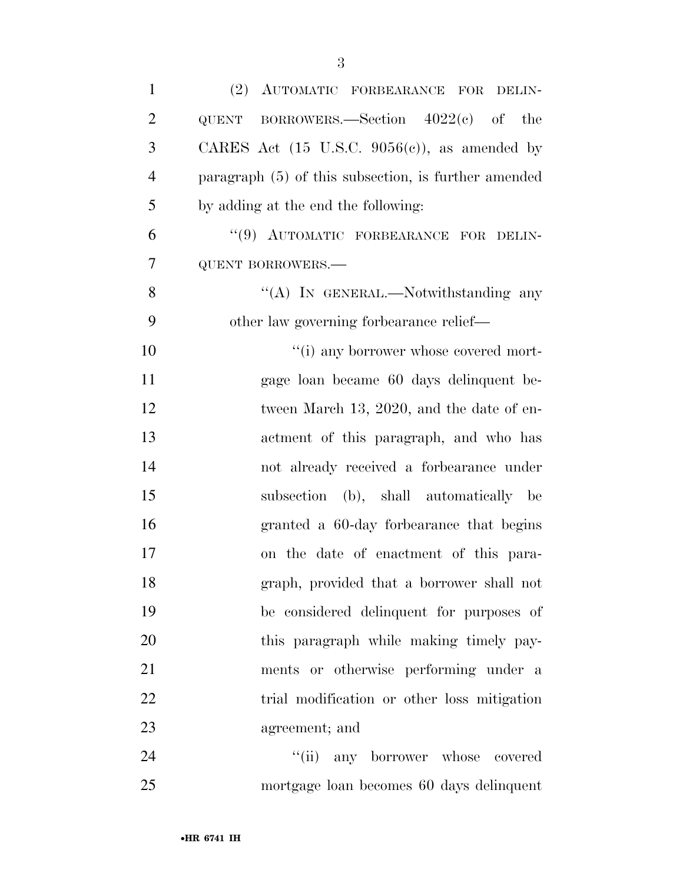| $\mathbf{1}$   | (2) AUTOMATIC FORBEARANCE FOR DELIN-                     |
|----------------|----------------------------------------------------------|
| $\overline{2}$ | QUENT BORROWERS.—Section $4022(e)$ of the                |
| 3              | CARES Act $(15 \text{ U.S.C. } 9056(c))$ , as amended by |
| $\overline{4}$ | paragraph $(5)$ of this subsection, is further amended   |
| 5              | by adding at the end the following:                      |
| 6              | "(9) AUTOMATIC FORBEARANCE FOR DELIN-                    |
| $\overline{7}$ | <b>QUENT BORROWERS.-</b>                                 |
| 8              | "(A) IN GENERAL.—Notwithstanding any                     |
| 9              | other law governing forbearance relief—                  |
| 10             | "(i) any borrower whose covered mort-                    |
| 11             | gage loan became 60 days delinquent be-                  |
| 12             | tween March 13, 2020, and the date of en-                |
| 13             | actment of this paragraph, and who has                   |
| 14             | not already received a forbearance under                 |
| 15             | subsection (b), shall automatically be                   |
| 16             | granted a 60-day forbearance that begins                 |
| 17             | on the date of enactment of this para-                   |
| 18             | graph, provided that a borrower shall not                |
| 19             | be considered delinquent for purposes of                 |
| 20             | this paragraph while making timely pay-                  |
| 21             | ments or otherwise performing under a                    |
| 22             | trial modification or other loss mitigation              |
| 23             | agreement; and                                           |
| 24             | "(ii) any borrower whose covered                         |
| 25             | mortgage loan becomes 60 days delinquent                 |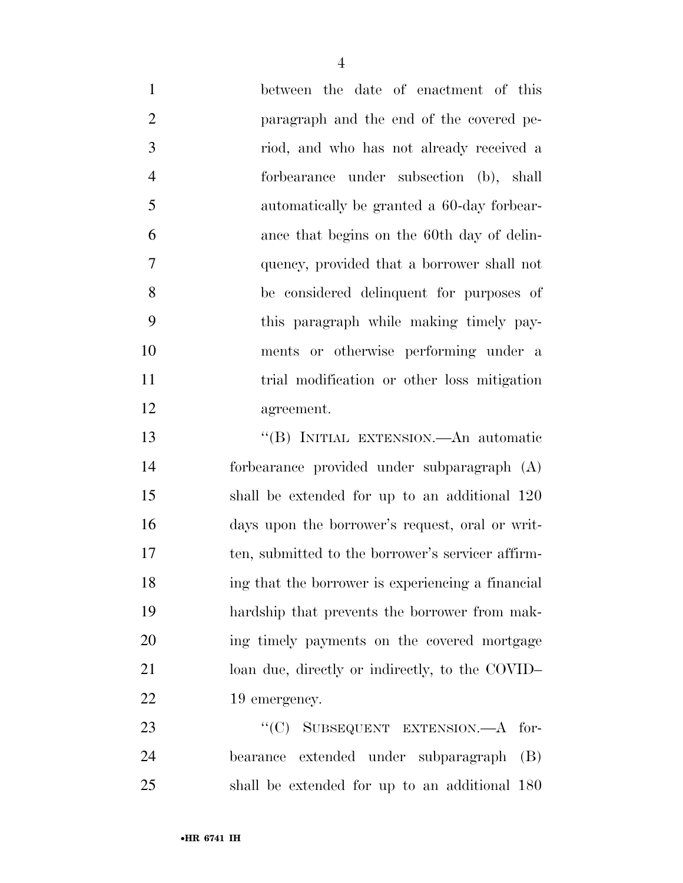between the date of enactment of this paragraph and the end of the covered pe- riod, and who has not already received a forbearance under subsection (b), shall automatically be granted a 60-day forbear- ance that begins on the 60th day of delin- quency, provided that a borrower shall not be considered delinquent for purposes of this paragraph while making timely pay- ments or otherwise performing under a 11 trial modification or other loss mitigation agreement.

 ''(B) INITIAL EXTENSION.—An automatic forbearance provided under subparagraph (A) shall be extended for up to an additional 120 days upon the borrower's request, oral or writ- ten, submitted to the borrower's servicer affirm- ing that the borrower is experiencing a financial hardship that prevents the borrower from mak- ing timely payments on the covered mortgage loan due, directly or indirectly, to the COVID– 22 19 emergency.

23 "'(C) SUBSEQUENT EXTENSION.—A for- bearance extended under subparagraph (B) shall be extended for up to an additional 180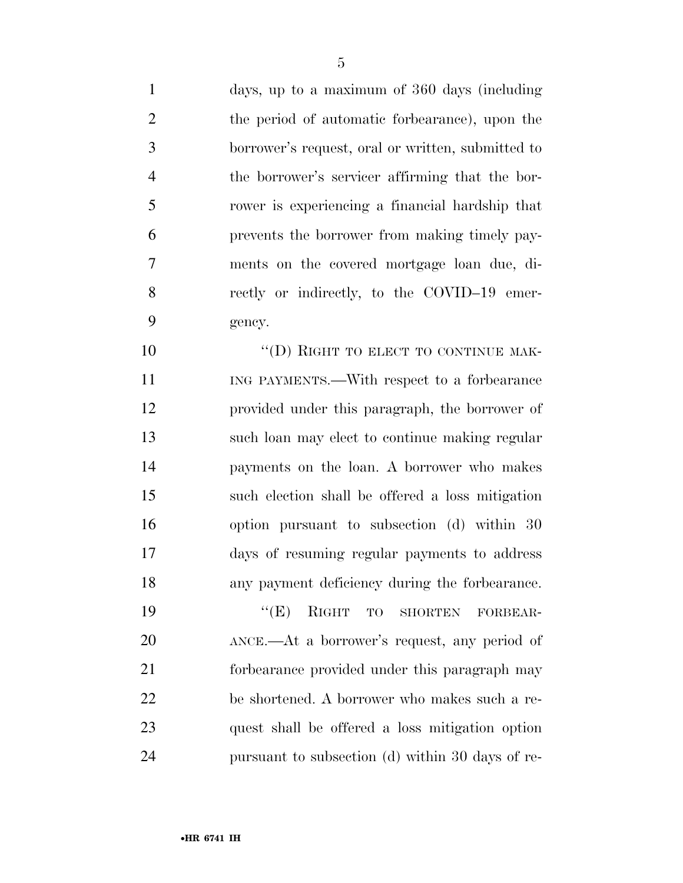days, up to a maximum of 360 days (including the period of automatic forbearance), upon the borrower's request, oral or written, submitted to the borrower's servicer affirming that the bor- rower is experiencing a financial hardship that prevents the borrower from making timely pay- ments on the covered mortgage loan due, di-8 rectly or indirectly, to the COVID–19 emer-gency.

10 "(D) RIGHT TO ELECT TO CONTINUE MAK- ING PAYMENTS.—With respect to a forbearance provided under this paragraph, the borrower of such loan may elect to continue making regular payments on the loan. A borrower who makes such election shall be offered a loss mitigation option pursuant to subsection (d) within 30 days of resuming regular payments to address any payment deficiency during the forbearance.

 ''(E) RIGHT TO SHORTEN FORBEAR- ANCE.—At a borrower's request, any period of forbearance provided under this paragraph may be shortened. A borrower who makes such a re- quest shall be offered a loss mitigation option pursuant to subsection (d) within 30 days of re-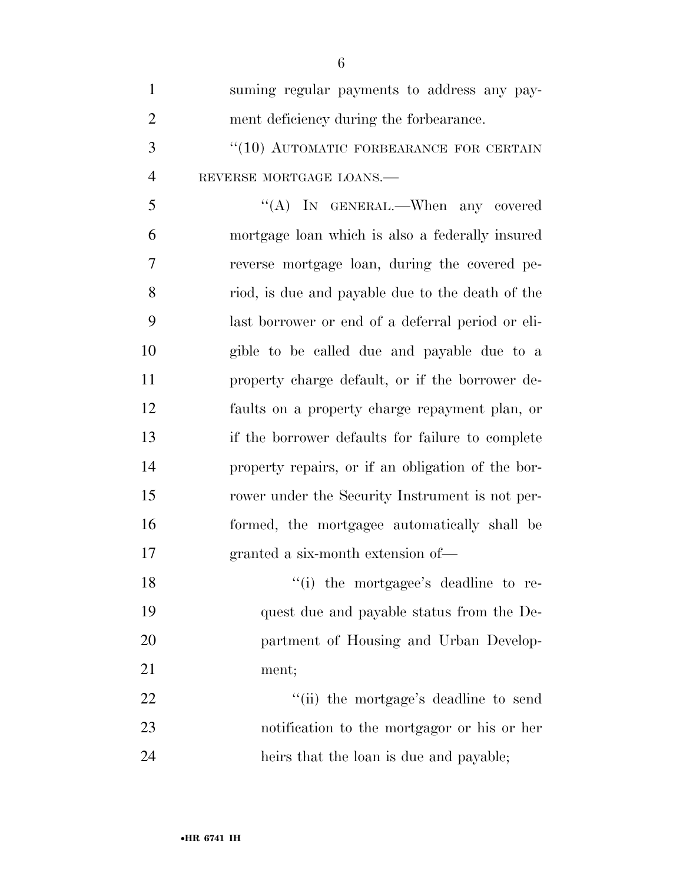| $\mathbf{1}$   | suming regular payments to address any pay-       |
|----------------|---------------------------------------------------|
| $\overline{2}$ | ment deficiency during the forbearance.           |
| 3              | "(10) AUTOMATIC FORBEARANCE FOR CERTAIN           |
| $\overline{4}$ | REVERSE MORTGAGE LOANS.                           |
| 5              | "(A) IN GENERAL.—When any covered                 |
| 6              | mortgage loan which is also a federally insured   |
| $\tau$         | reverse mortgage loan, during the covered pe-     |
| 8              | riod, is due and payable due to the death of the  |
| 9              | last borrower or end of a deferral period or eli- |
| 10             | gible to be called due and payable due to a       |
| 11             | property charge default, or if the borrower de-   |
| 12             | faults on a property charge repayment plan, or    |
| 13             | if the borrower defaults for failure to complete  |
| 14             | property repairs, or if an obligation of the bor- |
| 15             | rower under the Security Instrument is not per-   |
| 16             | formed, the mortgagee automatically shall be      |
| 17             | granted a six-month extension of-                 |
| 18             | "(i) the mortgagee's deadline to re-              |
| 19             | quest due and payable status from the De-         |
| 20             | partment of Housing and Urban Develop-            |
| 21             | ment;                                             |
| 22             | "(ii) the mortgage's deadline to send             |
| 23             | notification to the mortgagor or his or her       |
| 24             | heirs that the loan is due and payable;           |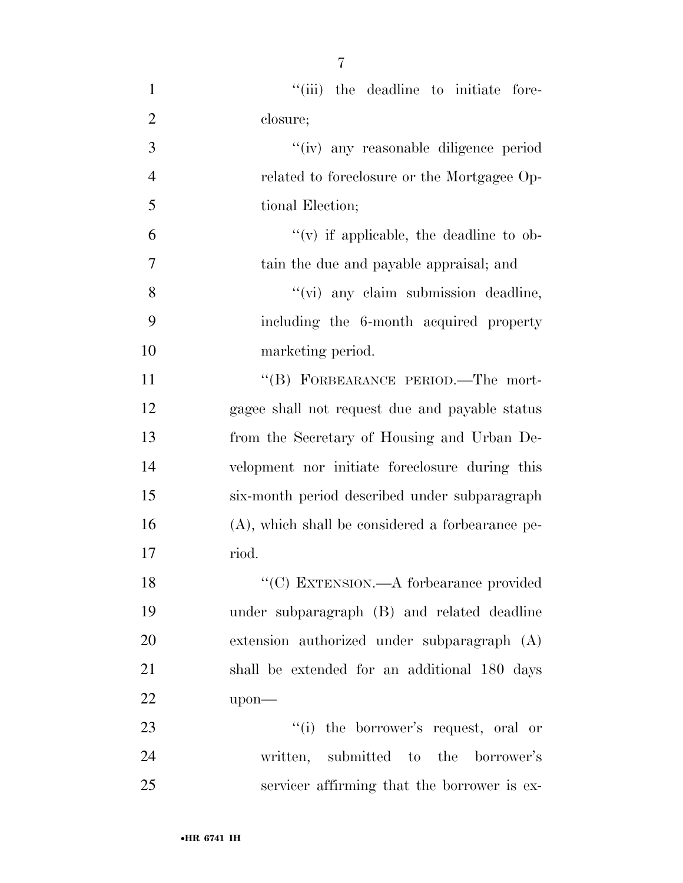| $\mathbf{1}$   | "(iii) the deadline to initiate fore-               |
|----------------|-----------------------------------------------------|
| $\overline{2}$ | closure;                                            |
| 3              | "(iv) any reasonable diligence period               |
| $\overline{4}$ | related to foreclosure or the Mortgagee Op-         |
| 5              | tional Election;                                    |
| 6              | $f'(v)$ if applicable, the deadline to ob-          |
| $\tau$         | tain the due and payable appraisal; and             |
| 8              | "(vi) any claim submission deadline,                |
| 9              | including the 6-month acquired property             |
| 10             | marketing period.                                   |
| 11             | "(B) FORBEARANCE PERIOD.—The mort-                  |
| 12             | gagee shall not request due and payable status      |
| 13             | from the Secretary of Housing and Urban De-         |
| 14             | velopment nor initiate foreclosure during this      |
| 15             | six-month period described under subparagraph       |
| 16             | $(A)$ , which shall be considered a forbearance pe- |
| 17             | riod.                                               |
| 18             | "(C) EXTENSION.—A forbearance provided              |
| 19             | under subparagraph (B) and related deadline         |
| 20             | extension authorized under subparagraph (A)         |
| 21             | shall be extended for an additional 180 days        |
| 22             | upon-                                               |
| 23             | "(i) the borrower's request, oral or                |
| 24             | written, submitted to the<br>borrower's             |
| 25             | servicer affirming that the borrower is ex-         |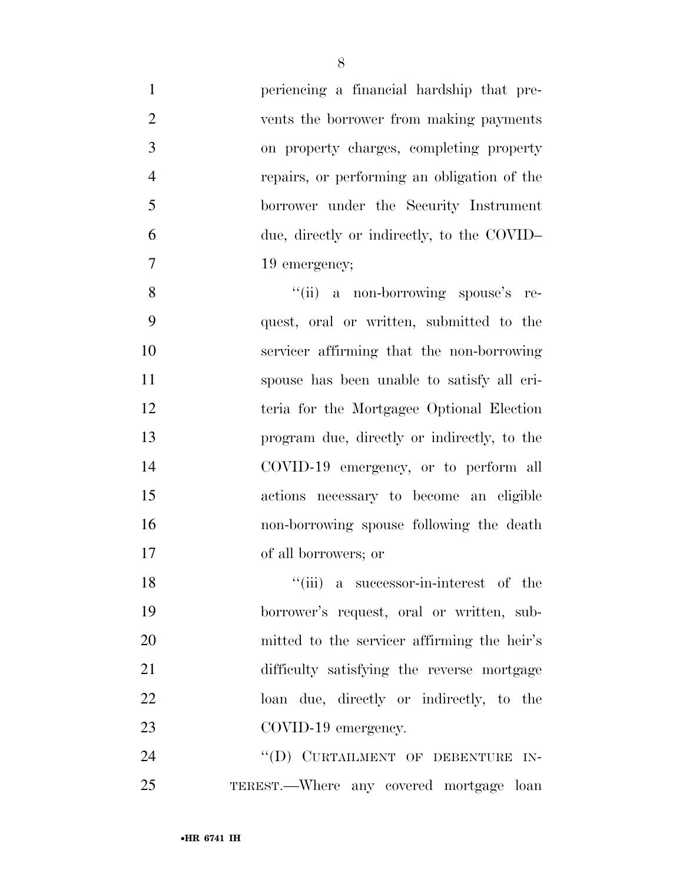| 1              | periencing a financial hardship that pre-   |
|----------------|---------------------------------------------|
| $\overline{2}$ | vents the borrower from making payments     |
| 3              | on property charges, completing property    |
| $\overline{4}$ | repairs, or performing an obligation of the |
| 5              | borrower under the Security Instrument      |
| 6              | due, directly or indirectly, to the COVID-  |
| $\tau$         | 19 emergency;                               |
| 8              | "(ii) a non-borrowing spouse's re-          |
| 9              | quest, oral or written, submitted to the    |
| 10             | servicer affirming that the non-borrowing   |
| 11             | spouse has been unable to satisfy all cri-  |
| 12             | teria for the Mortgagee Optional Election   |
| 13             | program due, directly or indirectly, to the |
| 14             | COVID-19 emergency, or to perform all       |
| 15             | actions necessary to become an eligible     |
| 16             | non-borrowing spouse following the death    |
| 17             | of all borrowers; or                        |
| 18             | "(iii) a successor-in-interest of the       |
| 19             | borrower's request, oral or written, sub-   |
| 20             | mitted to the servicer affirming the heir's |
| 21             | difficulty satisfying the reverse mortgage  |
| 22             | loan due, directly or indirectly, to the    |
| 23             | COVID-19 emergency.                         |
| 24             | "(D) CURTAILMENT OF DEBENTURE IN-           |
| 25             | TEREST.—Where any covered mortgage loan     |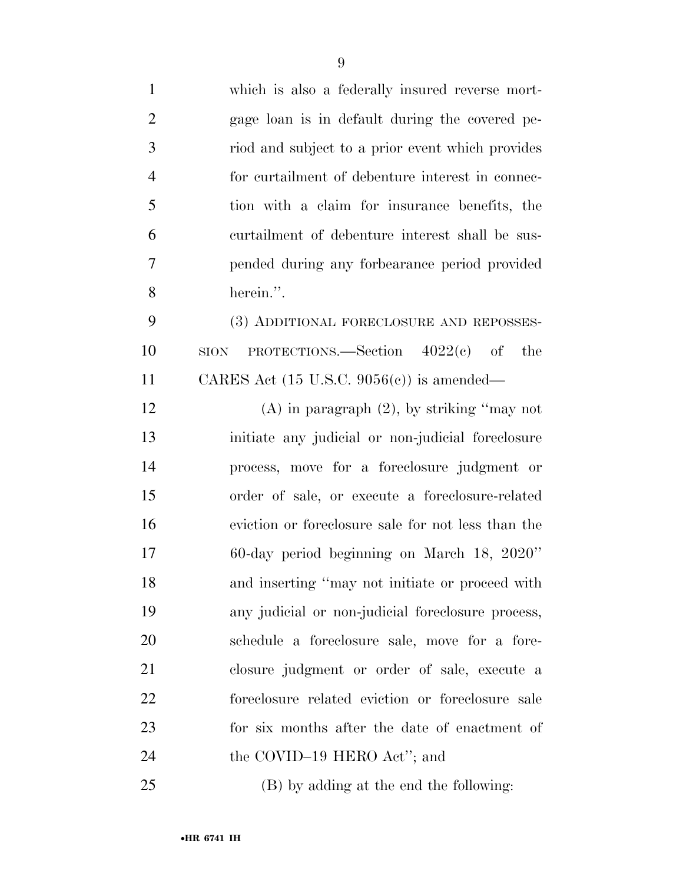| $\mathbf{1}$   | which is also a federally insured reverse mort-         |
|----------------|---------------------------------------------------------|
| $\overline{2}$ | gage loan is in default during the covered pe-          |
| 3              | riod and subject to a prior event which provides        |
| $\overline{4}$ | for curtailment of debenture interest in connec-        |
| 5              | tion with a claim for insurance benefits, the           |
| 6              | curtailment of debenture interest shall be sus-         |
| 7              | pended during any forbearance period provided           |
| 8              | herein.".                                               |
| 9              | (3) ADDITIONAL FORECLOSURE AND REPOSSES-                |
| 10             | PROTECTIONS.—Section $4022(e)$ of<br>the<br><b>SION</b> |
| 11             | CARES Act $(15 \text{ U.S.C. } 9056(c))$ is amended—    |
| 12             | $(A)$ in paragraph $(2)$ , by striking "may not         |
| 13             | initiate any judicial or non-judicial foreclosure       |
| 14             | process, move for a foreclosure judgment or             |
| 15             | order of sale, or execute a foreclosure-related         |
| 16             | eviction or foreclosure sale for not less than the      |
| 17             | 60-day period beginning on March 18, 2020"              |
| 18             | and inserting "may not initiate or proceed with         |
| 19             | any judicial or non-judicial foreclosure process,       |
| 20             | schedule a foreclosure sale, move for a fore-           |
| 21             | closure judgment or order of sale, execute a            |
| 22             | foreclosure related eviction or foreclosure sale        |
| 23             | for six months after the date of enactment of           |
| 24             | the COVID-19 HERO Act"; and                             |
| 25             | (B) by adding at the end the following:                 |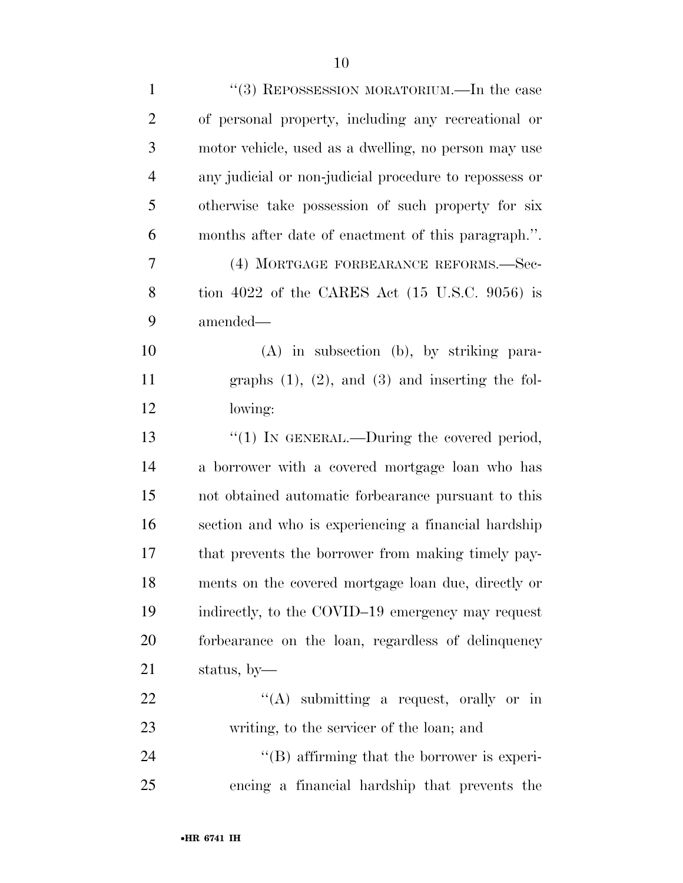| $\mathbf{1}$   | "(3) REPOSSESSION MORATORIUM.—In the case                 |
|----------------|-----------------------------------------------------------|
| $\overline{2}$ | of personal property, including any recreational or       |
| 3              | motor vehicle, used as a dwelling, no person may use      |
| $\overline{4}$ | any judicial or non-judicial procedure to repossess or    |
| 5              | otherwise take possession of such property for six        |
| 6              | months after date of enactment of this paragraph.".       |
| 7              | (4) MORTGAGE FORBEARANCE REFORMS.—Sec-                    |
| 8              | tion 4022 of the CARES Act $(15 \text{ U.S.C. } 9056)$ is |
| 9              | amended-                                                  |
| 10             | $(A)$ in subsection $(b)$ , by striking para-             |
| 11             | graphs $(1)$ , $(2)$ , and $(3)$ and inserting the fol-   |
| 12             | lowing:                                                   |
| 13             | "(1) IN GENERAL.—During the covered period,               |
| 14             | a borrower with a covered mortgage loan who has           |
| 15             | not obtained automatic forbearance pursuant to this       |
| 16             | section and who is experiencing a financial hardship      |
| 17             | that prevents the borrower from making timely pay-        |
| 18             | ments on the covered mortgage loan due, directly or       |
| 19             | indirectly, to the COVID-19 emergency may request         |
| 20             | forbearance on the loan, regardless of delinquency        |
| 21             | status, by-                                               |
| 22             | "(A) submitting a request, orally or in                   |
| 23             | writing, to the servicer of the loan; and                 |
| 24             | "(B) affirming that the borrower is experi-               |
| 25             | encing a financial hardship that prevents the             |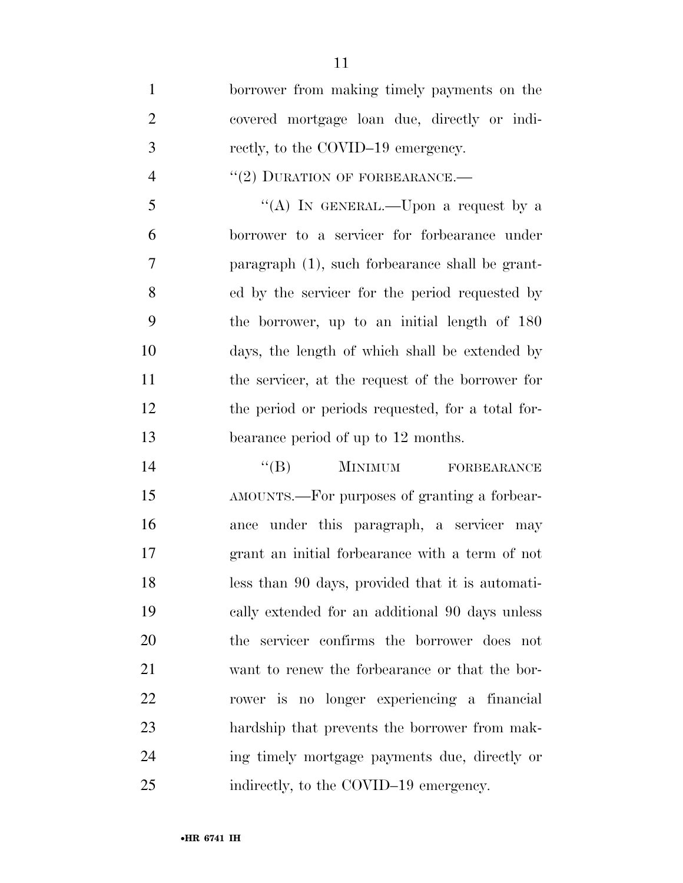borrower from making timely payments on the covered mortgage loan due, directly or indi- rectly, to the COVID–19 emergency.  $((2)$  DURATION OF FORBEARANCE.— ''(A) IN GENERAL.—Upon a request by a borrower to a servicer for forbearance under paragraph (1), such forbearance shall be grant- ed by the servicer for the period requested by the borrower, up to an initial length of 180 days, the length of which shall be extended by the servicer, at the request of the borrower for the period or periods requested, for a total for-bearance period of up to 12 months.

 ''(B) MINIMUM FORBEARANCE AMOUNTS.—For purposes of granting a forbear- ance under this paragraph, a servicer may grant an initial forbearance with a term of not less than 90 days, provided that it is automati- cally extended for an additional 90 days unless the servicer confirms the borrower does not want to renew the forbearance or that the bor- rower is no longer experiencing a financial hardship that prevents the borrower from mak- ing timely mortgage payments due, directly or 25 indirectly, to the COVID–19 emergency.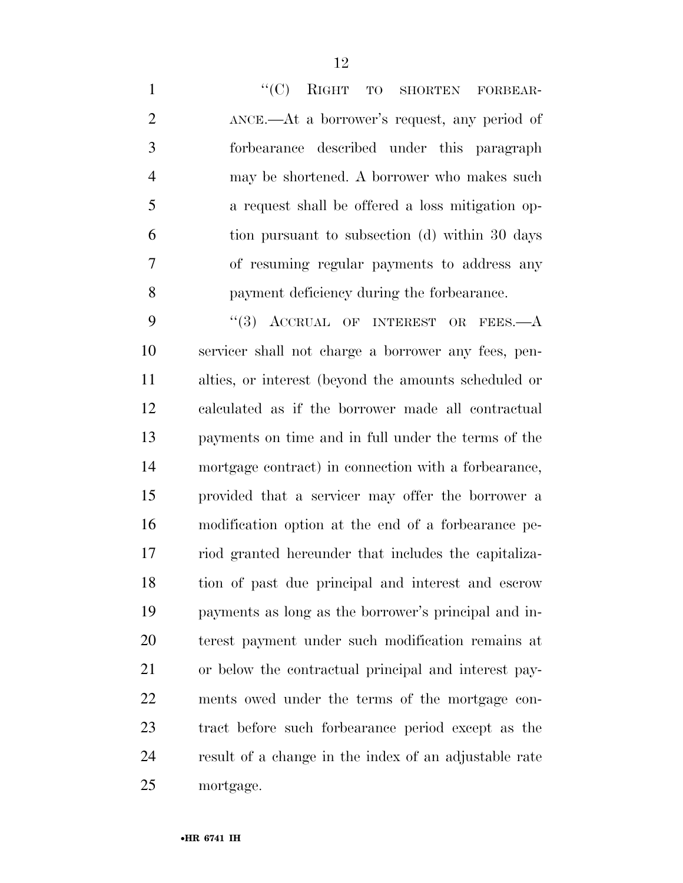1 "'(C) RIGHT TO SHORTEN FORBEAR-2 ANCE.—At a borrower's request, any period of forbearance described under this paragraph may be shortened. A borrower who makes such a request shall be offered a loss mitigation op- tion pursuant to subsection (d) within 30 days of resuming regular payments to address any payment deficiency during the forbearance.

9 "(3) ACCRUAL OF INTEREST OR FEES.—A servicer shall not charge a borrower any fees, pen- alties, or interest (beyond the amounts scheduled or calculated as if the borrower made all contractual payments on time and in full under the terms of the mortgage contract) in connection with a forbearance, provided that a servicer may offer the borrower a modification option at the end of a forbearance pe- riod granted hereunder that includes the capitaliza- tion of past due principal and interest and escrow payments as long as the borrower's principal and in- terest payment under such modification remains at or below the contractual principal and interest pay- ments owed under the terms of the mortgage con- tract before such forbearance period except as the result of a change in the index of an adjustable rate mortgage.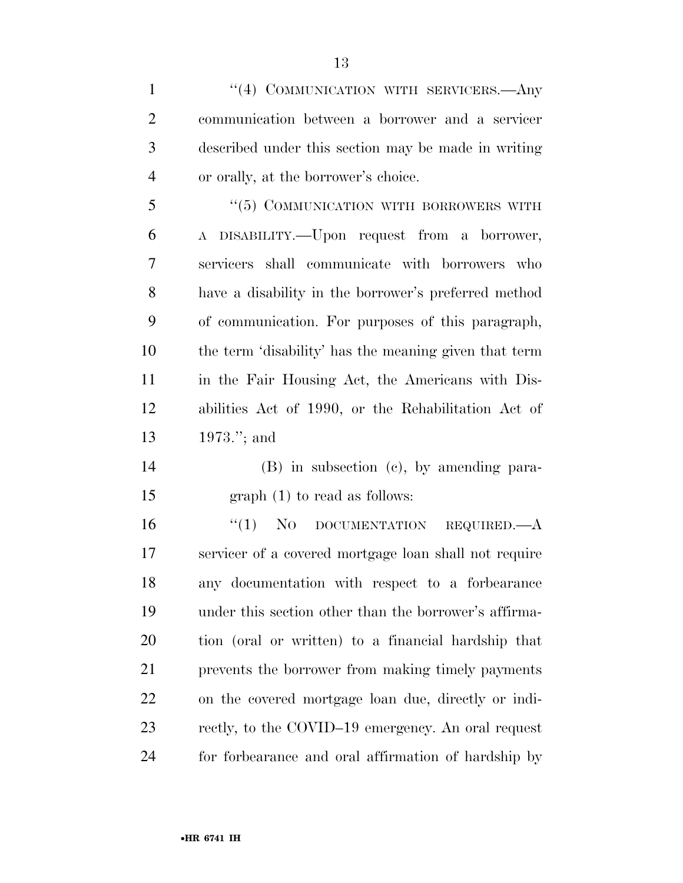1 "(4) COMMUNICATION WITH SERVICERS.—Any communication between a borrower and a servicer described under this section may be made in writing or orally, at the borrower's choice. 5 "(5) COMMUNICATION WITH BORROWERS WITH A DISABILITY.—Upon request from a borrower, servicers shall communicate with borrowers who

 have a disability in the borrower's preferred method of communication. For purposes of this paragraph, the term 'disability' has the meaning given that term in the Fair Housing Act, the Americans with Dis- abilities Act of 1990, or the Rehabilitation Act of 1973.''; and

 (B) in subsection (c), by amending para-graph (1) to read as follows:

16 "(1) NO DOCUMENTATION REQUIRED.—A servicer of a covered mortgage loan shall not require any documentation with respect to a forbearance under this section other than the borrower's affirma- tion (oral or written) to a financial hardship that prevents the borrower from making timely payments on the covered mortgage loan due, directly or indi- rectly, to the COVID–19 emergency. An oral request for forbearance and oral affirmation of hardship by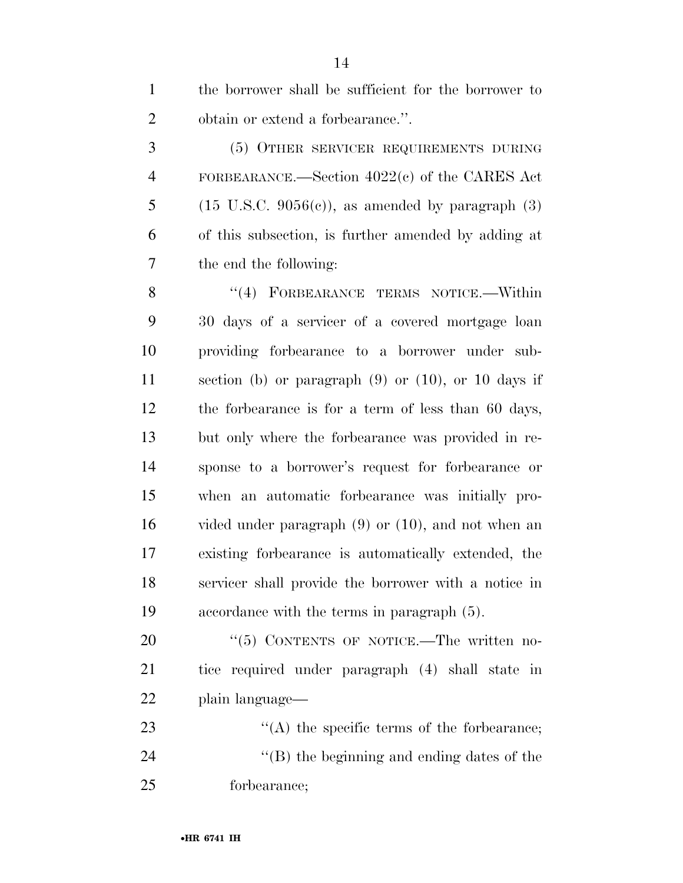| $1 \quad \Box$ | the borrower shall be sufficient for the borrower to |
|----------------|------------------------------------------------------|
|                | obtain or extend a forbearance.".<br>2 —             |
| 3              | (5) OTHER SERVICER REQUIREMENTS DURING               |
|                | 4 FORBEARANCE.—Section 4022(c) of the CARES Act      |

5 (15 U.S.C. 9056(c)), as amended by paragraph  $(3)$  of this subsection, is further amended by adding at the end the following:

8 "(4) FORBEARANCE TERMS NOTICE.—Within 30 days of a servicer of a covered mortgage loan providing forbearance to a borrower under sub- section (b) or paragraph (9) or (10), or 10 days if the forbearance is for a term of less than 60 days, but only where the forbearance was provided in re- sponse to a borrower's request for forbearance or when an automatic forbearance was initially pro- vided under paragraph (9) or (10), and not when an existing forbearance is automatically extended, the servicer shall provide the borrower with a notice in accordance with the terms in paragraph (5).

20 "(5) CONTENTS OF NOTICE.—The written no- tice required under paragraph (4) shall state in plain language—

23  $\bullet$  '(A) the specific terms of the forbearance; 24  $\langle$  (B) the beginning and ending dates of the forbearance;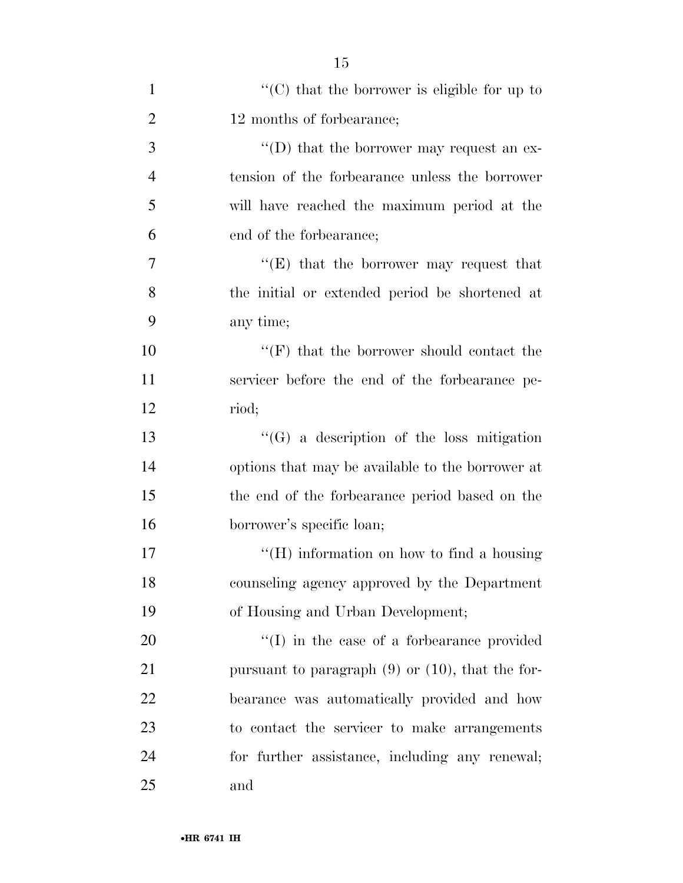| $\mathbf{1}$   | $\lq\lq (C)$ that the borrower is eligible for up to  |
|----------------|-------------------------------------------------------|
| $\overline{2}$ | 12 months of forbearance;                             |
| 3              | "(D) that the borrower may request an ex-             |
| $\overline{4}$ | tension of the forbearance unless the borrower        |
| 5              | will have reached the maximum period at the           |
| 6              | end of the forbearance;                               |
| $\overline{7}$ | "(E) that the borrower may request that               |
| 8              | the initial or extended period be shortened at        |
| 9              | any time;                                             |
| 10             | $``(F)$ that the borrower should contact the          |
| 11             | servicer before the end of the forbearance pe-        |
| 12             | riod;                                                 |
| 13             | $\lq\lq(G)$ a description of the loss mitigation      |
| 14             | options that may be available to the borrower at      |
| 15             | the end of the forbearance period based on the        |
| 16             | borrower's specific loan;                             |
| 17             | "(H) information on how to find a housing             |
| 18             | counseling agency approved by the Department          |
| 19             | of Housing and Urban Development;                     |
| 20             | $\lq\lq$ (I) in the case of a forbearance provided    |
| 21             | pursuant to paragraph $(9)$ or $(10)$ , that the for- |
| 22             | bearance was automatically provided and how           |
| 23             | to contact the servicer to make arrangements          |
| 24             | for further assistance, including any renewal;        |
| 25             | and                                                   |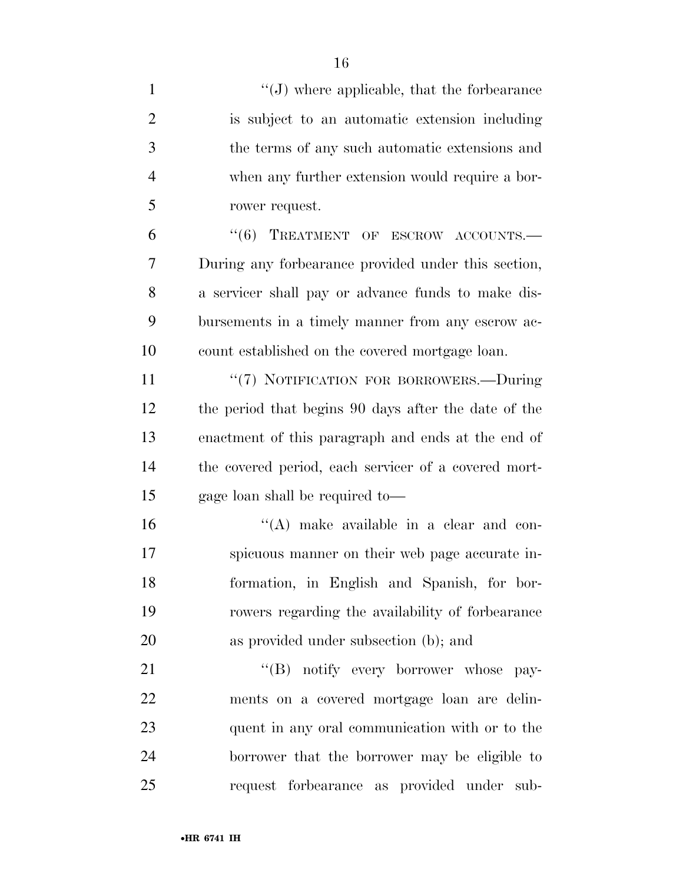| $\mathbf{1}$   | $\lq\lq(J)$ where applicable, that the forbearance   |
|----------------|------------------------------------------------------|
| $\overline{2}$ | is subject to an automatic extension including       |
| 3              | the terms of any such automatic extensions and       |
| $\overline{4}$ | when any further extension would require a bor-      |
| 5              | rower request.                                       |
| 6              | "(6) TREATMENT OF ESCROW ACCOUNTS.-                  |
| 7              | During any forbearance provided under this section,  |
| 8              | a servicer shall pay or advance funds to make dis-   |
| 9              | bursements in a timely manner from any eserow ac-    |
| 10             | count established on the covered mortgage loan.      |
| 11             | "(7) NOTIFICATION FOR BORROWERS.-During              |
| 12             | the period that begins 90 days after the date of the |
| 13             | enactment of this paragraph and ends at the end of   |
| 14             | the covered period, each servicer of a covered mort- |
| 15             | gage loan shall be required to-                      |
| 16             | $\lq\lq$ make available in a clear and con-          |
| 17             | spicuous manner on their web page accurate in-       |
| 18             | formation, in English and Spanish, for bor-          |
| 19             | rowers regarding the availability of forbearance     |
| 20             | as provided under subsection (b); and                |
| 21             | "(B) notify every borrower whose pay-                |
| 22             | ments on a covered mortgage loan are delin-          |
| 23             | quent in any oral communication with or to the       |
| 24             | borrower that the borrower may be eligible to        |
| 25             | request forbearance as provided under sub-           |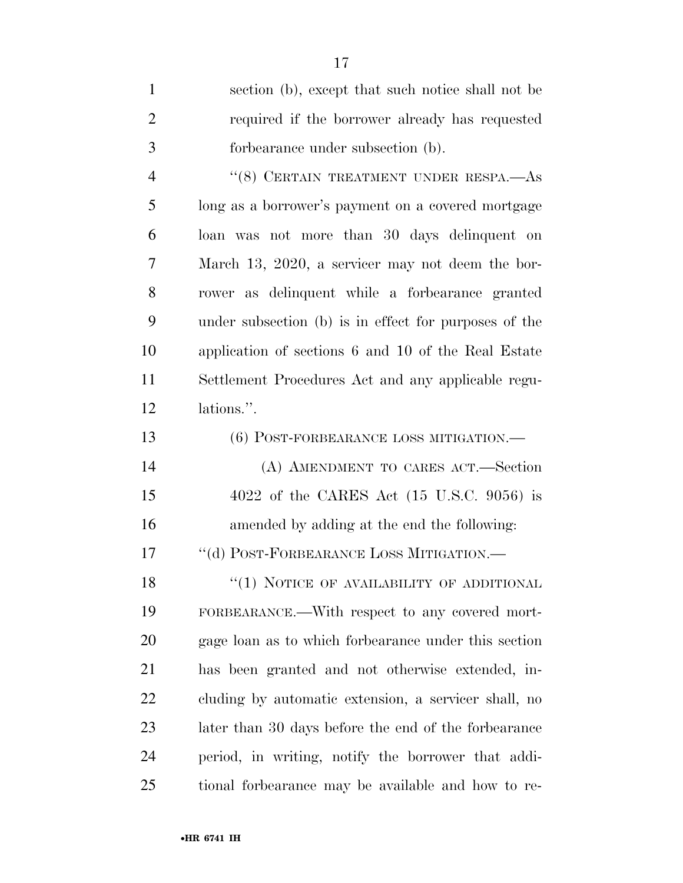| $\mathbf{1}$   | section (b), except that such notice shall not be     |
|----------------|-------------------------------------------------------|
| $\overline{2}$ | required if the borrower already has requested        |
| 3              | forbearance under subsection (b).                     |
| $\overline{4}$ | "(8) CERTAIN TREATMENT UNDER RESPA.—AS                |
| 5              | long as a borrower's payment on a covered mortgage    |
| 6              | loan was not more than 30 days delinquent on          |
| 7              | March 13, 2020, a servicer may not deem the bor-      |
| 8              | rower as delinquent while a forbearance granted       |
| 9              | under subsection (b) is in effect for purposes of the |
| 10             | application of sections 6 and 10 of the Real Estate   |
| 11             | Settlement Procedures Act and any applicable regu-    |
| 12             | lations.".                                            |
| 13             | (6) POST-FORBEARANCE LOSS MITIGATION.—                |
| 14             | (A) AMENDMENT TO CARES ACT.-Section                   |
| 15             | 4022 of the CARES Act $(15 \text{ U.S.C. } 9056)$ is  |
| 16             | amended by adding at the end the following:           |
| 17             | "(d) POST-FORBEARANCE LOSS MITIGATION.—               |
| 18             | "(1) NOTICE OF AVAILABILITY OF ADDITIONAL             |
| 19             | FORBEARANCE.—With respect to any covered mort-        |
| 20             | gage loan as to which forbearance under this section  |
| 21             | has been granted and not otherwise extended, in-      |
| 22             | cluding by automatic extension, a servicer shall, no  |
| 23             | later than 30 days before the end of the forbearance  |
| 24             | period, in writing, notify the borrower that addi-    |
| 25             | tional forbearance may be available and how to re-    |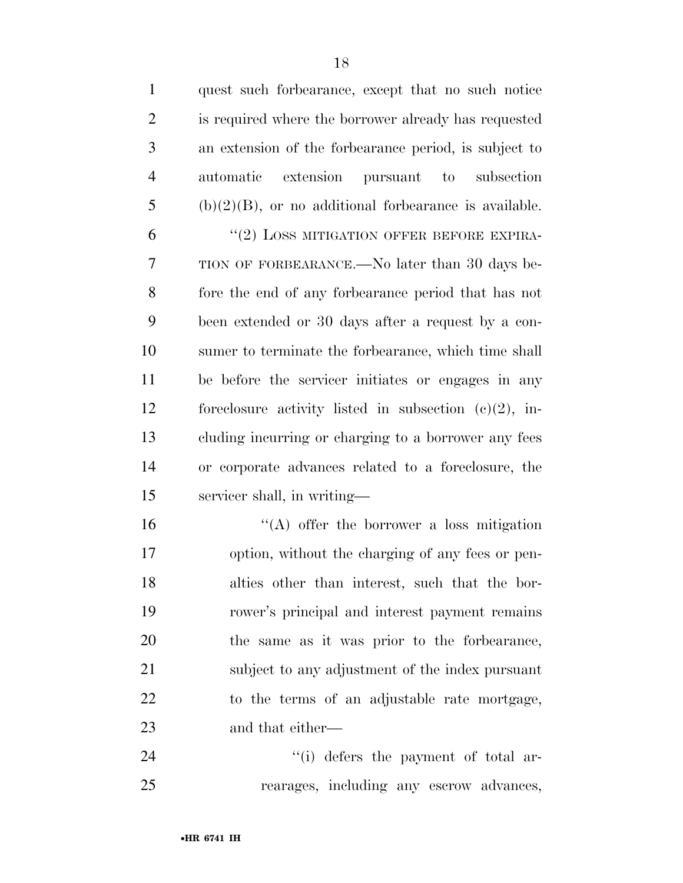| $\mathbf{1}$   | quest such forbearance, except that no such notice       |
|----------------|----------------------------------------------------------|
| $\overline{2}$ | is required where the borrower already has requested     |
| 3              | an extension of the forbearance period, is subject to    |
| $\overline{4}$ | automatic<br>extension pursuant to subsection            |
| 5              | $(b)(2)(B)$ , or no additional forbearance is available. |
| 6              | "(2) LOSS MITIGATION OFFER BEFORE EXPIRA-                |
| 7              | TION OF FORBEARANCE.—No later than 30 days be-           |
| 8              | fore the end of any forbearance period that has not      |
| 9              | been extended or 30 days after a request by a con-       |
| 10             | sumer to terminate the forbearance, which time shall     |
| 11             | be before the servicer initiates or engages in any       |
| 12             | foreclosure activity listed in subsection $(e)(2)$ , in- |
| 13             | cluding incurring or charging to a borrower any fees     |
| 14             | or corporate advances related to a foreclosure, the      |
| 15             | servicer shall, in writing—                              |
| 16             | $\lq\lq$ offer the borrower a loss mitigation            |
| $17\,$         | option, without the charging of any fees or pen-         |
| 18             | alties other than interest, such that the bor-           |
| 19             | rower's principal and interest payment remains           |
| 20             | the same as it was prior to the forbearance,             |
| 21             | subject to any adjustment of the index pursuant          |
| 22             | to the terms of an adjustable rate mortgage,             |
| 23             | and that either—                                         |
| 24             | "(i) defers the payment of total ar-                     |
| 25             | rearages, including any escrow advances,                 |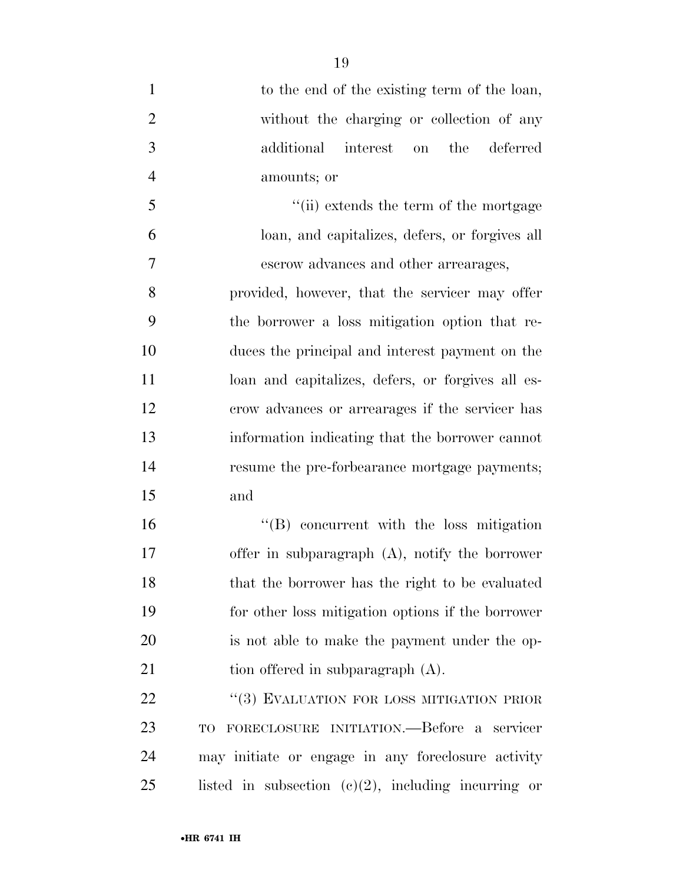| $\mathbf{1}$   | to the end of the existing term of the loan,      |
|----------------|---------------------------------------------------|
| $\overline{2}$ | without the charging or collection of any         |
| 3              | the<br>additional<br>interest<br>deferred<br>on   |
| $\overline{4}$ | amounts; or                                       |
| 5              | "(ii) extends the term of the mortgage            |
| 6              | loan, and capitalizes, defers, or forgives all    |
| $\tau$         | escrow advances and other arrearages,             |
| 8              | provided, however, that the servicer may offer    |
| 9              | the borrower a loss mitigation option that re-    |
| 10             | duces the principal and interest payment on the   |
| 11             | loan and capitalizes, defers, or forgives all es- |
| 12             | crow advances or arrearages if the servicer has   |
| 13             | information indicating that the borrower cannot   |
| 14             | resume the pre-forbearance mortgage payments;     |
| 15             | and                                               |
| 16             | "(B) concurrent with the loss mitigation          |
| 17             | offer in subparagraph $(A)$ , notify the borrower |
| 18             | that the borrower has the right to be evaluated   |
| 19             | for other loss mitigation options if the borrower |
| 20             | is not able to make the payment under the op-     |
| 21             | tion offered in subparagraph (A).                 |
| 22             | "(3) EVALUATION FOR LOSS MITIGATION PRIOR         |
| 23             | TO FORECLOSURE INITIATION.—Before a servicer      |

 TO FORECLOSURE INITIATION.—Before a servicer may initiate or engage in any foreclosure activity listed in subsection (c)(2), including incurring or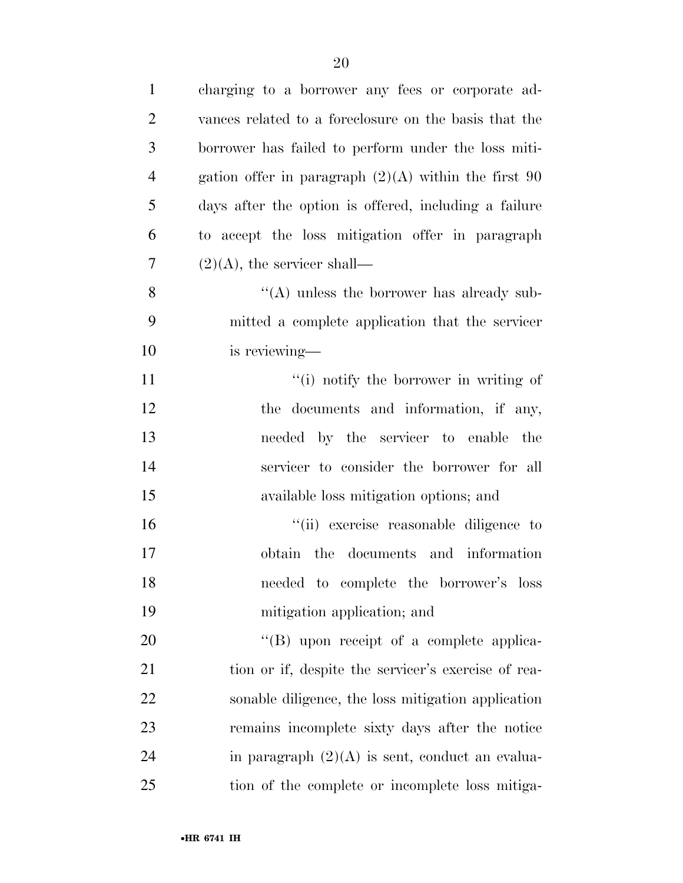| $\mathbf{1}$   | charging to a borrower any fees or corporate ad-       |
|----------------|--------------------------------------------------------|
| $\overline{2}$ | vances related to a foreclosure on the basis that the  |
| 3              | borrower has failed to perform under the loss miti-    |
| $\overline{4}$ | gation offer in paragraph $(2)(A)$ within the first 90 |
| 5              | days after the option is offered, including a failure  |
| 6              | to accept the loss mitigation offer in paragraph       |
| 7              | $(2)(A)$ , the servicer shall—                         |
| 8              | $\lq\lq$ unless the borrower has already sub-          |
| 9              | mitted a complete application that the servicer        |
| 10             | is reviewing—                                          |
| 11             | "(i) notify the borrower in writing of                 |
| 12             | the documents and information, if any,                 |
| 13             | needed by the servicer to enable the                   |
| 14             | servicer to consider the borrower for all              |
| 15             | available loss mitigation options; and                 |
| 16             | "(ii) exercise reasonable diligence to                 |
| 17             | obtain the documents and information                   |
| 18             | needed to complete the borrower's loss                 |
| 19             | mitigation application; and                            |
| 20             | $\lq\lq (B)$ upon receipt of a complete applica-       |
| 21             | tion or if, despite the servicer's exercise of rea-    |
| 22             | sonable diligence, the loss mitigation application     |
| 23             | remains incomplete sixty days after the notice         |
| 24             | in paragraph $(2)(A)$ is sent, conduct an evalua-      |
| 25             | tion of the complete or incomplete loss mitiga-        |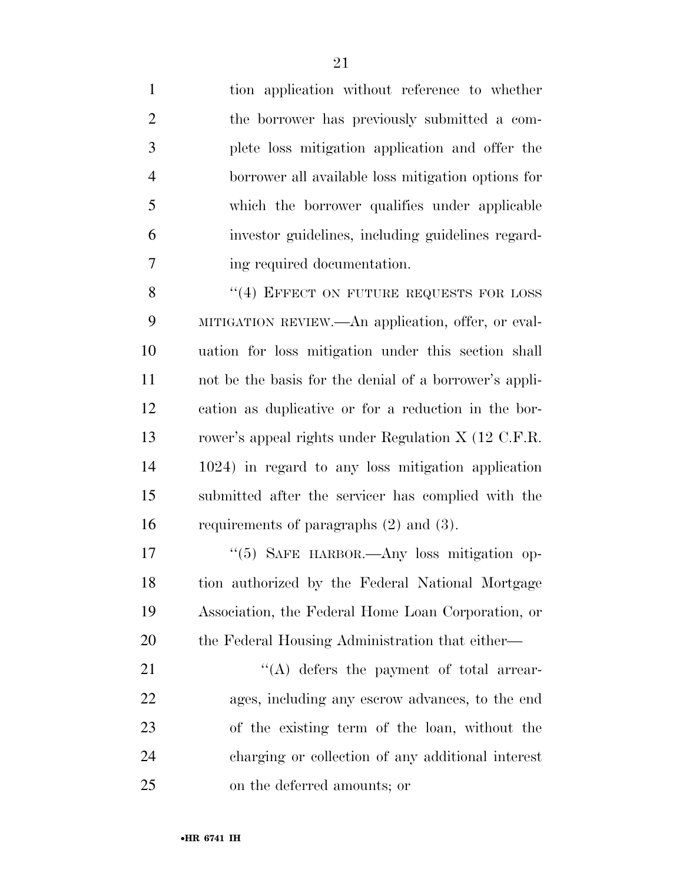tion application without reference to whether the borrower has previously submitted a com- plete loss mitigation application and offer the borrower all available loss mitigation options for which the borrower qualifies under applicable investor guidelines, including guidelines regard-ing required documentation.

8 "(4) EFFECT ON FUTURE REQUESTS FOR LOSS MITIGATION REVIEW.—An application, offer, or eval- uation for loss mitigation under this section shall not be the basis for the denial of a borrower's appli- cation as duplicative or for a reduction in the bor- rower's appeal rights under Regulation X (12 C.F.R. 1024) in regard to any loss mitigation application submitted after the servicer has complied with the requirements of paragraphs (2) and (3).

 ''(5) SAFE HARBOR.—Any loss mitigation op- tion authorized by the Federal National Mortgage Association, the Federal Home Loan Corporation, or 20 the Federal Housing Administration that either—

21 ''(A) defers the payment of total arrear- ages, including any escrow advances, to the end of the existing term of the loan, without the charging or collection of any additional interest on the deferred amounts; or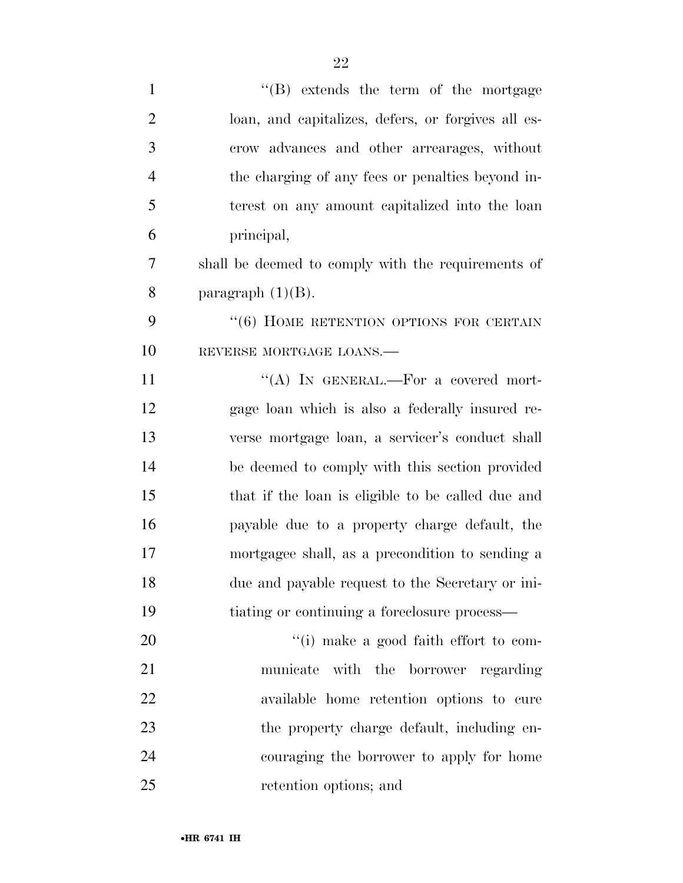| $\mathbf{1}$   | $\lq\lq (B)$ extends the term of the mortgage      |
|----------------|----------------------------------------------------|
| $\overline{2}$ | loan, and capitalizes, defers, or forgives all es- |
| 3              | crow advances and other arrearages, without        |
| $\overline{4}$ | the charging of any fees or penalties beyond in-   |
| 5              | terest on any amount capitalized into the loan     |
| 6              | principal,                                         |
| 7              | shall be deemed to comply with the requirements of |
| 8              | paragraph $(1)(B)$ .                               |
| 9              | "(6) HOME RETENTION OPTIONS FOR CERTAIN            |
| 10             | REVERSE MORTGAGE LOANS.                            |
| 11             | "(A) IN GENERAL.—For a covered mort-               |
| 12             | gage loan which is also a federally insured re-    |
| 13             | verse mortgage loan, a servicer's conduct shall    |
| 14             | be deemed to comply with this section provided     |
| 15             | that if the loan is eligible to be called due and  |
| 16             | payable due to a property charge default, the      |
| 17             | mortgagee shall, as a precondition to sending a    |
| 18             | due and payable request to the Secretary or ini-   |
| 19             | tiating or continuing a foreclosure process—       |
| 20             | "(i) make a good faith effort to com-              |
| 21             | municate with the borrower regarding               |
| 22             | available home retention options to cure           |
| 23             | the property charge default, including en-         |
| 24             | couraging the borrower to apply for home           |
| 25             | retention options; and                             |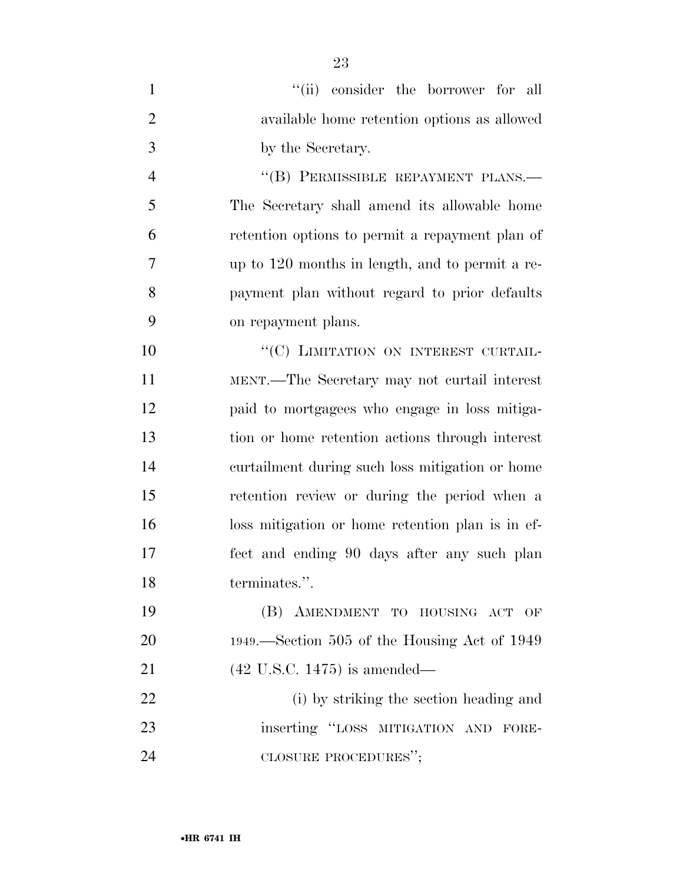| $\mathbf{1}$   | "(ii) consider the borrower for all              |
|----------------|--------------------------------------------------|
| $\overline{2}$ | available home retention options as allowed      |
| 3              | by the Secretary.                                |
| $\overline{4}$ | "(B) PERMISSIBLE REPAYMENT PLANS.-               |
| 5              | The Secretary shall amend its allowable home     |
| 6              | retention options to permit a repayment plan of  |
| 7              | up to 120 months in length, and to permit a re-  |
| 8              | payment plan without regard to prior defaults    |
| 9              | on repayment plans.                              |
| 10             | "(C) LIMITATION ON INTEREST CURTAIL-             |
| 11             | MENT.—The Secretary may not curtail interest     |
| 12             | paid to mortgagees who engage in loss mitiga-    |
| 13             | tion or home retention actions through interest  |
| 14             | curtailment during such loss mitigation or home  |
| 15             | retention review or during the period when a     |
| 16             | loss mitigation or home retention plan is in ef- |
| 17             | fect and ending 90 days after any such plan      |
| 18             | terminates.".                                    |
| 19             | (B) AMENDMENT TO HOUSING ACT OF                  |
| 20             | 1949.—Section 505 of the Housing Act of 1949     |
| 21             | $(42 \text{ U.S.C. } 1475)$ is amended—          |
| 22             | (i) by striking the section heading and          |
| 23             | inserting "LOSS MITIGATION AND<br>FORE-          |
| 24             | CLOSURE PROCEDURES";                             |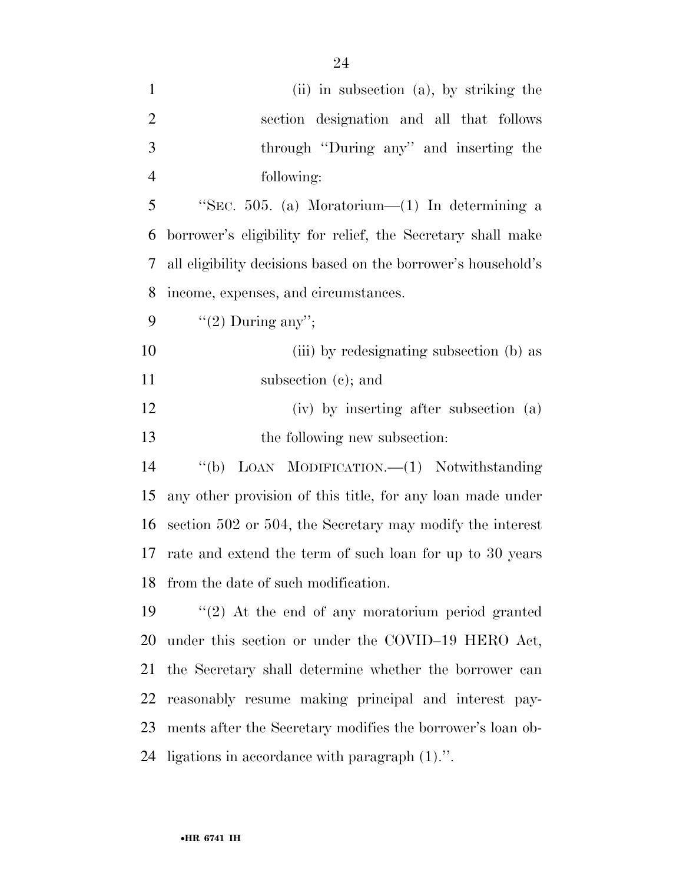| $\mathbf{1}$   | (ii) in subsection (a), by striking the                       |
|----------------|---------------------------------------------------------------|
| $\overline{2}$ | section designation and all that follows                      |
| 3              | through "During any" and inserting the                        |
| $\overline{4}$ | following:                                                    |
| 5              | "SEC. 505. (a) Moratorium—(1) In determining a                |
| 6              | borrower's eligibility for relief, the Secretary shall make   |
| 7              | all eligibility decisions based on the borrower's household's |
| 8              | income, expenses, and circumstances.                          |
| 9              | "(2) During any";                                             |
| 10             | (iii) by redesignating subsection (b) as                      |
| 11             | subsection (c); and                                           |
| 12             | (iv) by inserting after subsection (a)                        |
|                |                                                               |
| 13             | the following new subsection:                                 |
| 14             | LOAN MODIFICATION. (1) Notwithstanding<br>``(b)               |
| 15             | any other provision of this title, for any loan made under    |
| 16             | section 502 or 504, the Secretary may modify the interest     |
| 17             | rate and extend the term of such loan for up to 30 years      |
|                | 18 from the date of such modification.                        |
| 19             | $\lq(2)$ At the end of any moratorium period granted          |
| 20             | under this section or under the COVID-19 HERO Act,            |
| 21             | the Secretary shall determine whether the borrower can        |
| 22             | reasonably resume making principal and interest pay-          |
| 23             | ments after the Secretary modifies the borrower's loan ob-    |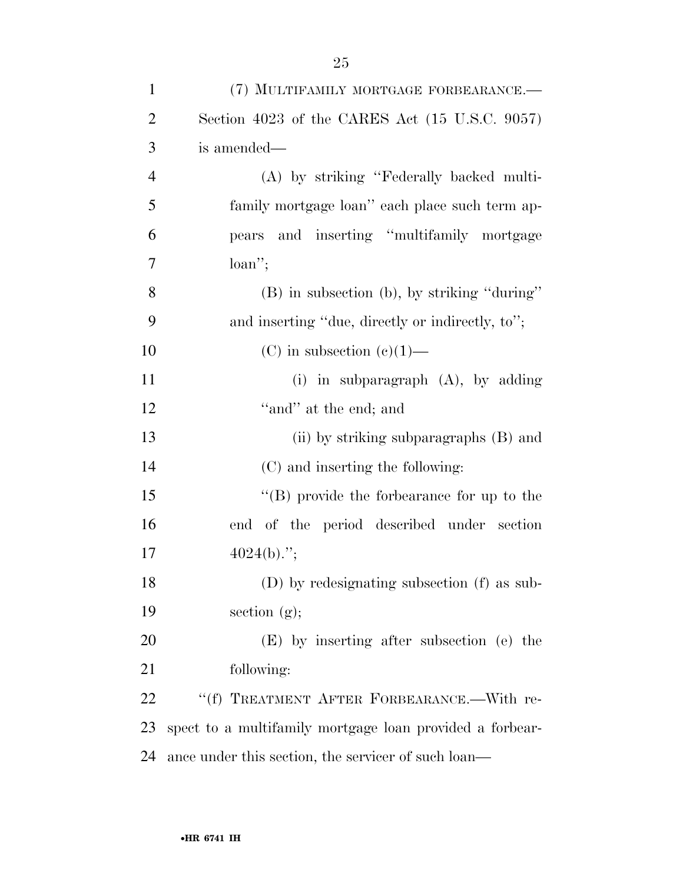| $\mathbf{1}$   | (7) MULTIFAMILY MORTGAGE FORBEARANCE.-                   |
|----------------|----------------------------------------------------------|
| $\overline{2}$ | Section 4023 of the CARES Act (15 U.S.C. 9057)           |
| 3              | is amended—                                              |
| $\overline{4}$ | (A) by striking "Federally backed multi-                 |
| 5              | family mortgage loan" each place such term ap-           |
| 6              | pears and inserting "multifamily mortgage                |
| 7              | $loan$ ";                                                |
| 8              | (B) in subsection (b), by striking "during"              |
| 9              | and inserting "due, directly or indirectly, to";         |
| 10             | (C) in subsection (c)(1)—                                |
| 11             | (i) in subparagraph $(A)$ , by adding                    |
| 12             | "and" at the end; and                                    |
| 13             | (ii) by striking subparagraphs (B) and                   |
| 14             | (C) and inserting the following:                         |
| 15             | $\lq\lq (B)$ provide the forbearance for up to the       |
| 16             | end of the period described under section                |
| 17             | $4024(b)$ .";                                            |
| 18             | (D) by redesignating subsection (f) as sub-              |
| 19             | section $(g)$ ;                                          |
| 20             | (E) by inserting after subsection (e) the                |
| 21             | following:                                               |
| 22             | "(f) TREATMENT AFTER FORBEARANCE.-With re-               |
| 23             | spect to a multifamily mortgage loan provided a forbear- |
| 24             | ance under this section, the servicer of such loan—      |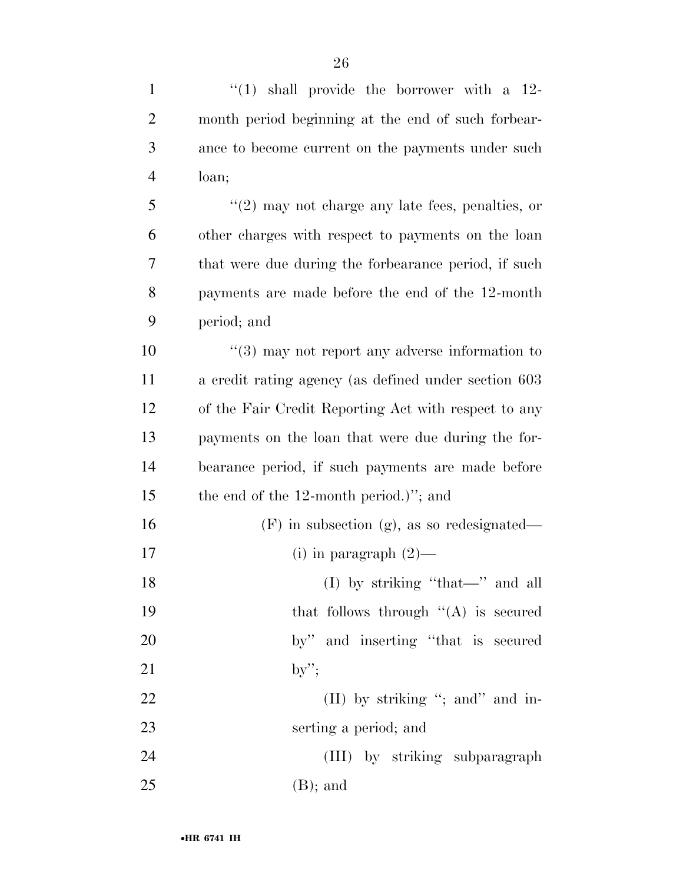| $\mathbf{1}$   | " $(1)$ shall provide the borrower with a 12-              |
|----------------|------------------------------------------------------------|
| $\overline{2}$ | month period beginning at the end of such forbear-         |
| 3              | ance to become current on the payments under such          |
| $\overline{4}$ | loan;                                                      |
| 5              | $(2)$ may not charge any late fees, penalties, or          |
| 6              | other charges with respect to payments on the loan         |
| 7              | that were due during the forbearance period, if such       |
| 8              | payments are made before the end of the 12-month           |
| 9              | period; and                                                |
| 10             | $\cdot\cdot$ (3) may not report any adverse information to |
| 11             | a credit rating agency (as defined under section 603       |
| 12             | of the Fair Credit Reporting Act with respect to any       |
| 13             | payments on the loan that were due during the for-         |
| 14             | bearance period, if such payments are made before          |
| 15             | the end of the $12$ -month period.)"; and                  |
| 16             | $(F)$ in subsection (g), as so redesignated—               |
| 17             | (i) in paragraph $(2)$ —                                   |
| 18             | (I) by striking "that—" and all                            |
| 19             | that follows through $\lq (A)$ is secured                  |
| 20             | by" and inserting "that is secured                         |
| 21             | $by$ ";                                                    |
| 22             | (II) by striking "; and " and in-                          |
| 23             | serting a period; and                                      |
| 24             | (III) by striking subparagraph                             |
| 25             | $(B)$ ; and                                                |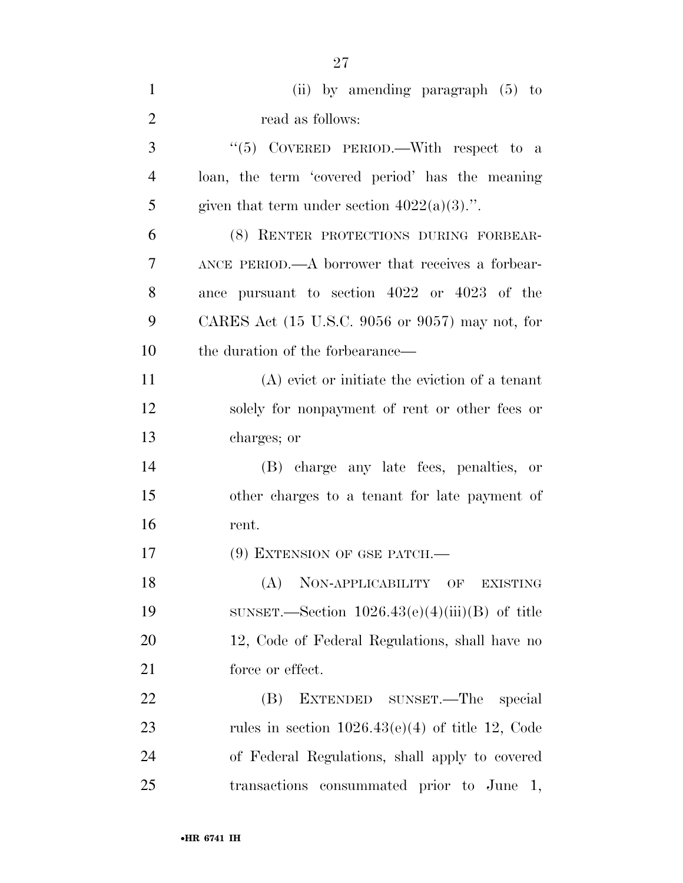| $\mathbf{1}$   | (ii) by amending paragraph $(5)$ to                                 |
|----------------|---------------------------------------------------------------------|
| $\overline{2}$ | read as follows:                                                    |
| 3              | "(5) COVERED PERIOD.—With respect to a                              |
| $\overline{4}$ | loan, the term 'covered period' has the meaning                     |
| 5              | given that term under section $4022(a)(3)$ .".                      |
| 6              | (8) RENTER PROTECTIONS DURING FORBEAR-                              |
| 7              | ANCE PERIOD.—A borrower that receives a forbear-                    |
| 8              | ance pursuant to section 4022 or 4023 of the                        |
| 9              | CARES Act $(15 \text{ U.S.C. } 9056 \text{ or } 9057)$ may not, for |
| 10             | the duration of the forbearance—                                    |
| 11             | (A) evict or initiate the eviction of a tenant                      |
| 12             | solely for nonpayment of rent or other fees or                      |
| 13             | charges; or                                                         |
| 14             | (B) charge any late fees, penalties, or                             |
| 15             | other charges to a tenant for late payment of                       |
| 16             | rent.                                                               |
| 17             | $(9)$ EXTENSION OF GSE PATCH.—                                      |
| 18             | NON-APPLICABILITY OF<br>(A)<br><b>EXISTING</b>                      |
| 19             | SUNSET.—Section $1026.43(e)(4)(iii)(B)$ of title                    |
| 20             | 12, Code of Federal Regulations, shall have no                      |
| 21             | force or effect.                                                    |
| 22             | EXTENDED SUNSET.—The<br>(B)<br>special                              |
| 23             | rules in section $1026.43(e)(4)$ of title 12, Code                  |
| 24             | of Federal Regulations, shall apply to covered                      |
| 25             | transactions consummated prior to June 1,                           |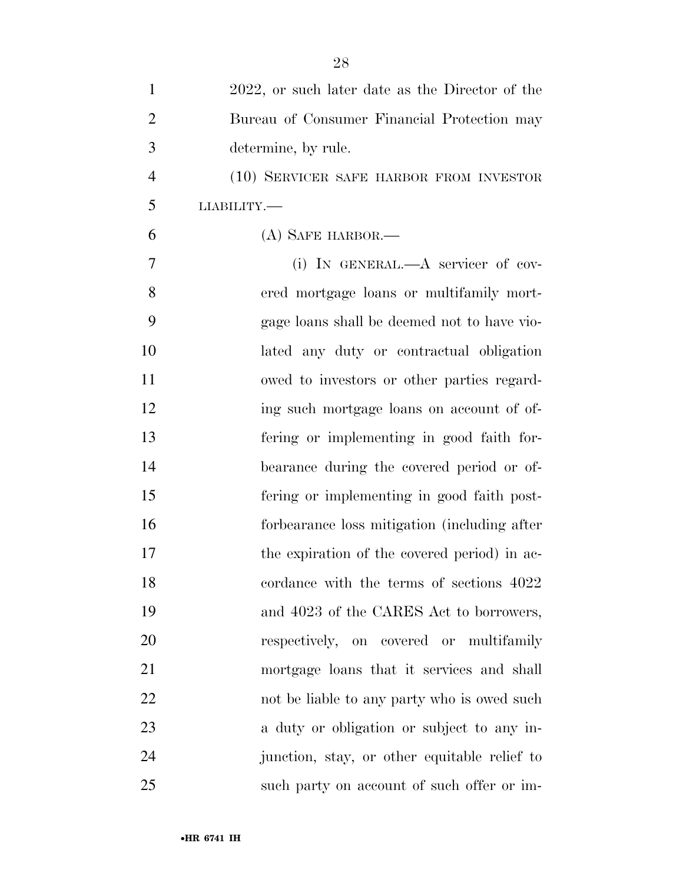| $\mathbf{1}$   | 2022, or such later date as the Director of the |
|----------------|-------------------------------------------------|
| $\overline{2}$ | Bureau of Consumer Financial Protection may     |
| 3              | determine, by rule.                             |
| $\overline{4}$ | (10) SERVICER SAFE HARBOR FROM INVESTOR         |
| 5              | <b>LIABILITY.—</b>                              |
| 6              | (A) SAFE HARBOR.—                               |
| 7              | (i) IN GENERAL.—A servicer of cov-              |
| 8              | ered mortgage loans or multifamily mort-        |
| 9              | gage loans shall be deemed not to have vio-     |
| 10             | lated any duty or contractual obligation        |
| 11             | owed to investors or other parties regard-      |
| 12             | ing such mortgage loans on account of of-       |
| 13             | fering or implementing in good faith for-       |
| 14             | bearance during the covered period or of-       |
| 15             | fering or implementing in good faith post-      |
| 16             | forbearance loss mitigation (including after    |
| 17             | the expiration of the covered period) in ac-    |
| 18             | cordance with the terms of sections 4022        |
| 19             | and 4023 of the CARES Act to borrowers,         |
| 20             | respectively, on covered or multifamily         |
| 21             | mortgage loans that it services and shall       |
| 22             | not be liable to any party who is owed such     |
| 23             | a duty or obligation or subject to any in-      |
| 24             | junction, stay, or other equitable relief to    |
| 25             | such party on account of such offer or im-      |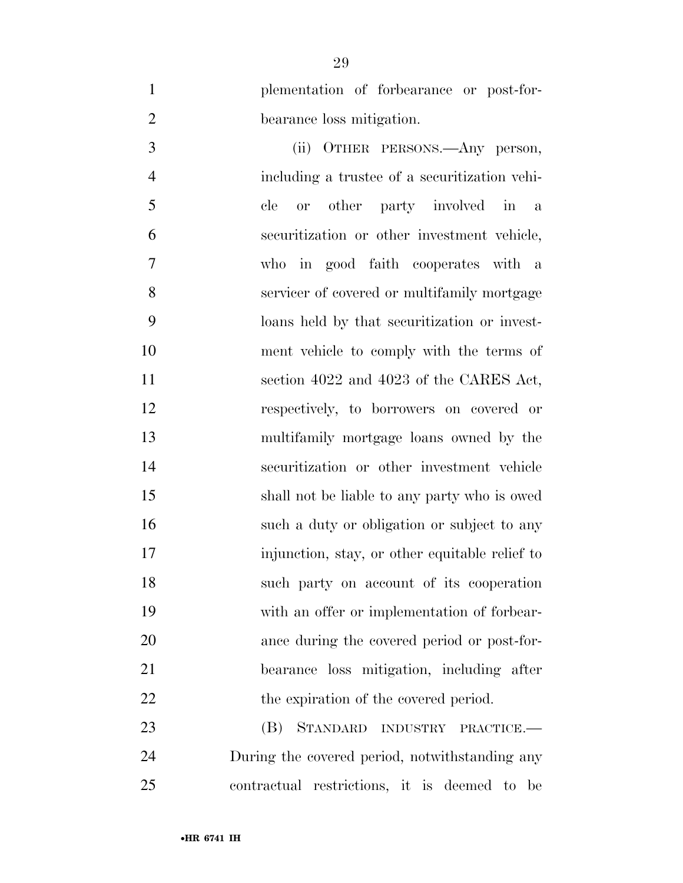plementation of forbearance or post-for-bearance loss mitigation.

 (ii) OTHER PERSONS.—Any person, including a trustee of a securitization vehi- cle or other party involved in a securitization or other investment vehicle, who in good faith cooperates with a servicer of covered or multifamily mortgage loans held by that securitization or invest- ment vehicle to comply with the terms of 11 section 4022 and 4023 of the CARES Act, respectively, to borrowers on covered or multifamily mortgage loans owned by the securitization or other investment vehicle shall not be liable to any party who is owed such a duty or obligation or subject to any injunction, stay, or other equitable relief to such party on account of its cooperation with an offer or implementation of forbear- ance during the covered period or post-for- bearance loss mitigation, including after 22 the expiration of the covered period.

 (B) STANDARD INDUSTRY PRACTICE.— During the covered period, notwithstanding any contractual restrictions, it is deemed to be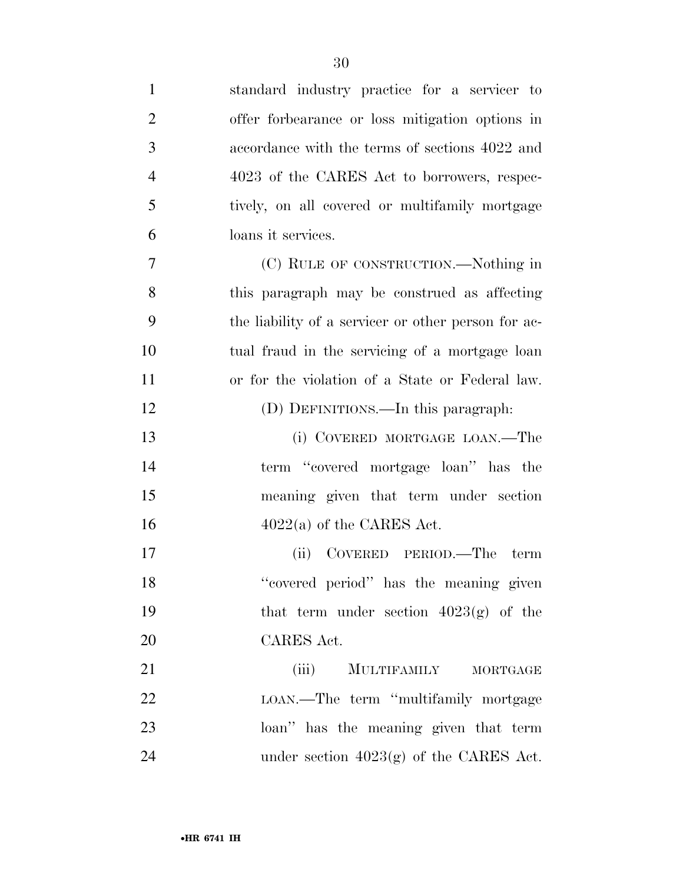| $\mathbf{1}$   | standard industry practice for a servicer to        |
|----------------|-----------------------------------------------------|
| $\overline{2}$ | offer forbearance or loss mitigation options in     |
| 3              | accordance with the terms of sections 4022 and      |
| $\overline{4}$ | 4023 of the CARES Act to borrowers, respec-         |
| 5              | tively, on all covered or multifamily mortgage      |
| 6              | loans it services.                                  |
| $\overline{7}$ | (C) RULE OF CONSTRUCTION.—Nothing in                |
| 8              | this paragraph may be construed as affecting        |
| 9              | the liability of a servicer or other person for ac- |
| 10             | tual fraud in the servicing of a mortgage loan      |
| 11             | or for the violation of a State or Federal law.     |
| 12             | (D) DEFINITIONS.—In this paragraph:                 |
| 13             | (i) COVERED MORTGAGE LOAN.—The                      |
| 14             | term "covered mortgage loan" has the                |
| 15             | meaning given that term under section               |
| 16             | $4022(a)$ of the CARES Act.                         |
| 17             | (ii) COVERED PERIOD.—The term                       |
| 18             | "covered period" has the meaning given              |
| 19             | that term under section $4023(g)$ of the            |
| 20             | CARES Act.                                          |
| 21             | (iii)<br>MULTIFAMILY MORTGAGE                       |
| 22             | LOAN.—The term "multifamily mortgage                |
| 23             | loan" has the meaning given that term               |
| 24             | under section $4023(g)$ of the CARES Act.           |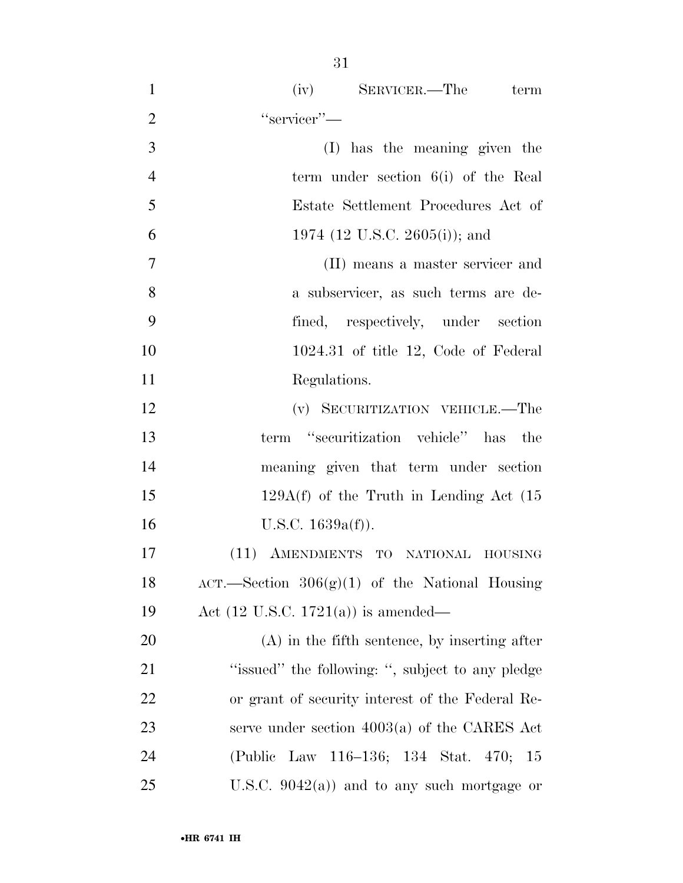| $\mathbf{1}$   | (iv) SERVICER.—The term                          |
|----------------|--------------------------------------------------|
| $\overline{2}$ | "servicer"-                                      |
| 3              | (I) has the meaning given the                    |
| $\overline{4}$ | term under section $6(i)$ of the Real            |
| 5              | Estate Settlement Procedures Act of              |
| 6              | 1974 (12 U.S.C. 2605(i)); and                    |
| $\tau$         | (II) means a master servicer and                 |
| 8              | a subservicer, as such terms are de-             |
| 9              | fined, respectively, under section               |
| 10             | $1024.31$ of title 12, Code of Federal           |
| 11             | Regulations.                                     |
| 12             | (v) SECURITIZATION VEHICLE.—The                  |
| 13             | term "securitization vehicle" has the            |
| 14             | meaning given that term under section            |
| 15             | $129A(f)$ of the Truth in Lending Act $(15$      |
| 16             | U.S.C. $1639a(f)$ ).                             |
| 17             | (11) AMENDMENTS TO NATIONAL HOUSING              |
| 18             | ACT.—Section $306(g)(1)$ of the National Housing |
| 19             | Act $(12 \text{ U.S.C. } 1721(a))$ is amended—   |
| 20             | $(A)$ in the fifth sentence, by inserting after  |
| 21             | "issued" the following: ", subject to any pledge |
| 22             | or grant of security interest of the Federal Re- |
| 23             | serve under section $4003(a)$ of the CARES Act   |
| 24             | (Public Law 116–136; 134 Stat. 470;<br>- 15      |
| 25             | U.S.C. $9042(a)$ and to any such mortgage or     |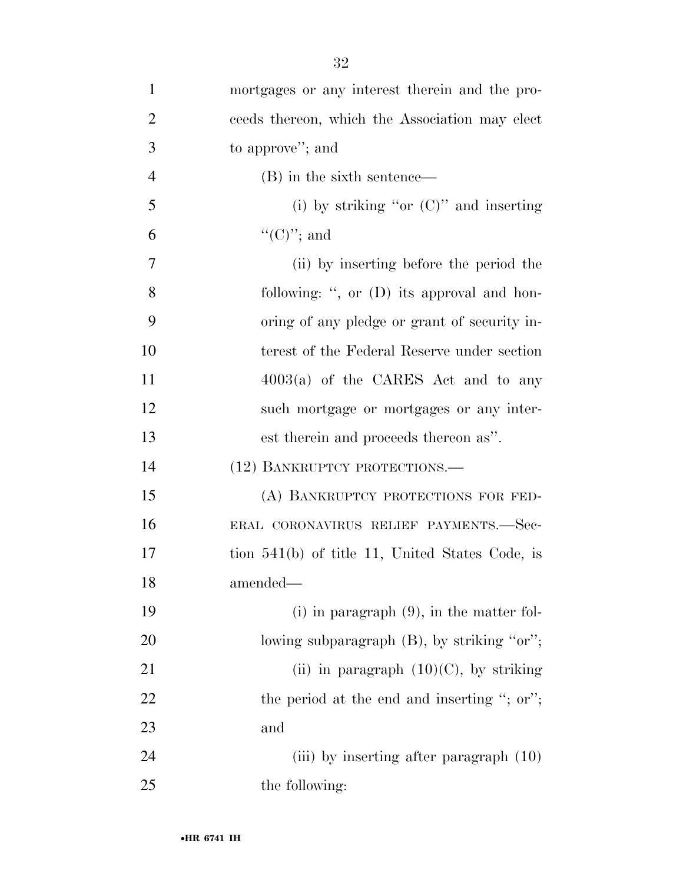| $\mathbf{1}$   | mortgages or any interest therein and the pro-    |
|----------------|---------------------------------------------------|
| $\overline{2}$ | ceeds thereon, which the Association may elect    |
| 3              | to approve"; and                                  |
| $\overline{4}$ | (B) in the sixth sentence—                        |
| 5              | (i) by striking "or $(C)$ " and inserting         |
| 6              | " $(C)$ "; and                                    |
| $\overline{7}$ | (ii) by inserting before the period the           |
| 8              | following: ", or (D) its approval and hon-        |
| 9              | oring of any pledge or grant of security in-      |
| 10             | terest of the Federal Reserve under section       |
| 11             | $4003(a)$ of the CARES Act and to any             |
| 12             | such mortgage or mortgages or any inter-          |
| 13             | est therein and proceeds thereon as".             |
| 14             | (12) BANKRUPTCY PROTECTIONS.—                     |
| 15             | (A) BANKRUPTCY PROTECTIONS FOR FED-               |
| 16             | ERAL CORONAVIRUS RELIEF PAYMENTS.—Sec-            |
| 17             | tion $541(b)$ of title 11, United States Code, is |
| 18             | amended-                                          |
| 19             | $(i)$ in paragraph $(9)$ , in the matter fol-     |
| 20             | lowing subparagraph (B), by striking "or";        |
| 21             | (ii) in paragraph $(10)(C)$ , by striking         |
| 22             | the period at the end and inserting "; or";       |
| 23             | and                                               |
| 24             | (iii) by inserting after paragraph (10)           |
| 25             | the following:                                    |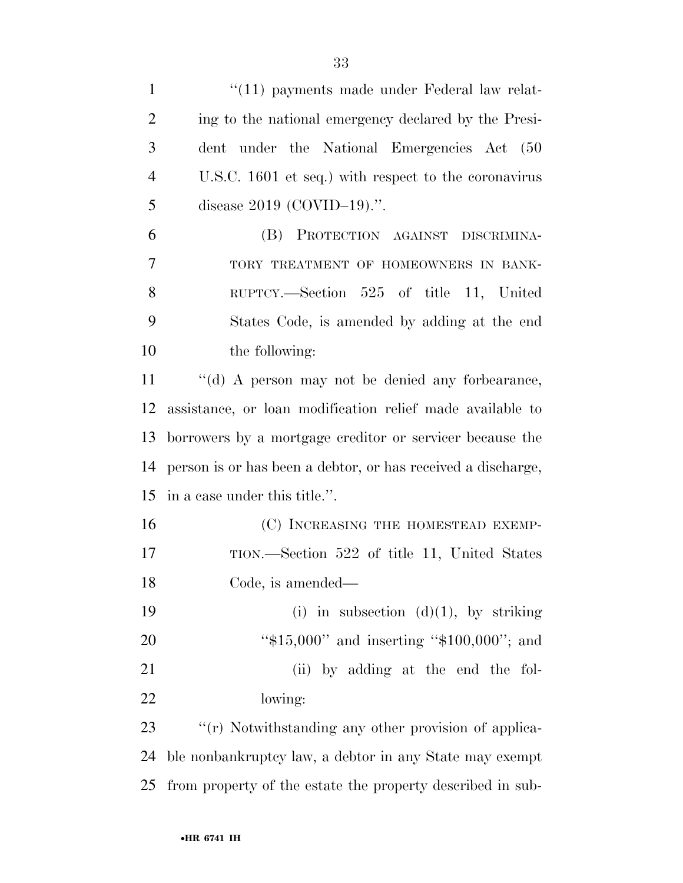| $\mathbf{1}$   | $\lq(11)$ payments made under Federal law relat-             |
|----------------|--------------------------------------------------------------|
| $\overline{2}$ | ing to the national emergency declared by the Presi-         |
| 3              | dent under the National Emergencies Act (50                  |
| $\overline{4}$ | U.S.C. 1601 et seq.) with respect to the coronavirus         |
| 5              | disease $2019$ (COVID-19).".                                 |
| 6              | (B) PROTECTION AGAINST DISCRIMINA-                           |
| 7              | TORY TREATMENT OF HOMEOWNERS IN BANK-                        |
| 8              | RUPTCY.—Section 525 of title 11, United                      |
| 9              | States Code, is amended by adding at the end                 |
| 10             | the following:                                               |
| 11             | "(d) A person may not be denied any forbearance,             |
| 12             | assistance, or loan modification relief made available to    |
| 13             | borrowers by a mortgage creditor or servicer because the     |
| 14             | person is or has been a debtor, or has received a discharge, |
| 15             | in a case under this title.".                                |
| 16             | (C) INCREASING THE HOMESTEAD EXEMP-                          |
| 17             | TION.—Section 522 of title 11, United States                 |
| 18             | Code, is amended—                                            |
| 19             | (i) in subsection $(d)(1)$ , by striking                     |
| 20             | " $$15,000"$ and inserting " $$100,000"$ ; and               |
| 21             | (ii) by adding at the end the fol-                           |
| 22             | lowing:                                                      |
| 23             | "(r) Notwithstanding any other provision of applica-         |
| 24             | ble nonbankruptcy law, a debtor in any State may exempt      |
| 25             | from property of the estate the property described in sub-   |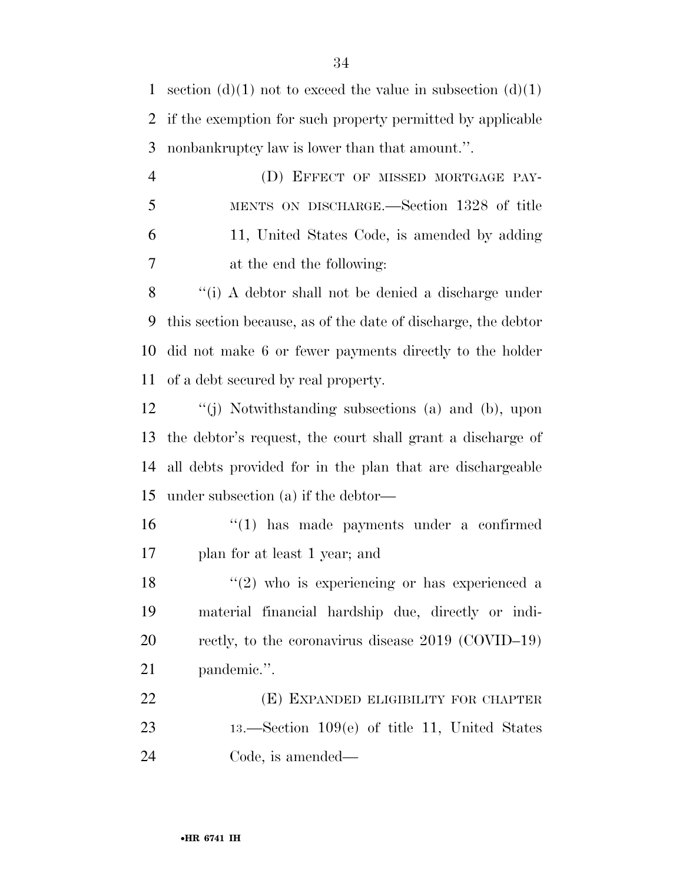1 section (d)(1) not to exceed the value in subsection (d)(1) if the exemption for such property permitted by applicable nonbankruptcy law is lower than that amount.''.

 (D) EFFECT OF MISSED MORTGAGE PAY- MENTS ON DISCHARGE.—Section 1328 of title 11, United States Code, is amended by adding at the end the following:

 ''(i) A debtor shall not be denied a discharge under this section because, as of the date of discharge, the debtor did not make 6 or fewer payments directly to the holder of a debt secured by real property.

 ''(j) Notwithstanding subsections (a) and (b), upon the debtor's request, the court shall grant a discharge of all debts provided for in the plan that are dischargeable under subsection (a) if the debtor—

 ''(1) has made payments under a confirmed plan for at least 1 year; and

 $\frac{18}{2}$  ''(2) who is experiencing or has experienced a material financial hardship due, directly or indi- rectly, to the coronavirus disease 2019 (COVID–19) pandemic.''.

 (E) EXPANDED ELIGIBILITY FOR CHAPTER 13.—Section 109(e) of title 11, United States Code, is amended—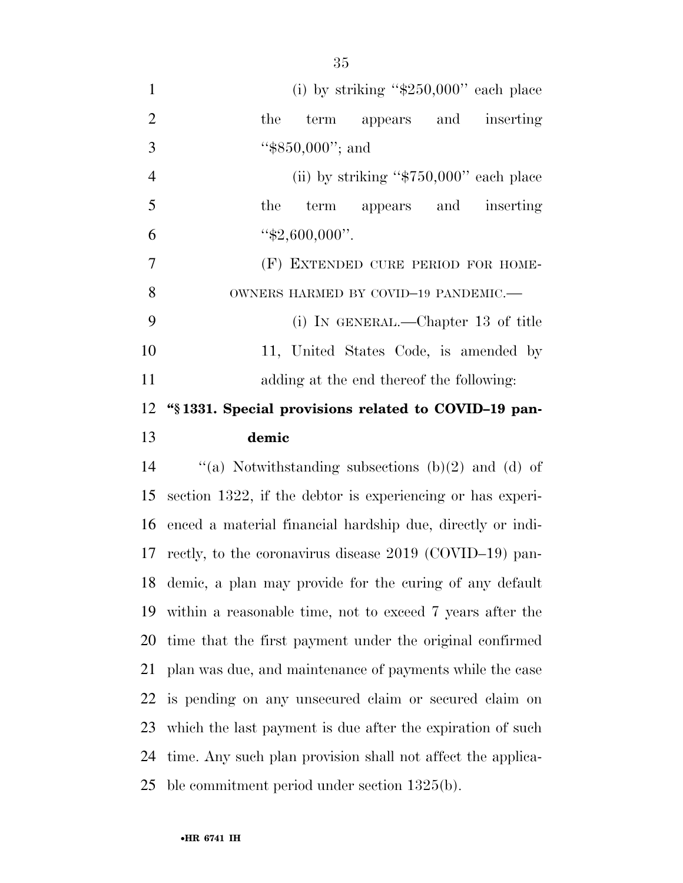| 1              | (i) by striking " $$250,000"$ each place               |
|----------------|--------------------------------------------------------|
| 2              | the term appears and inserting                         |
| 3              | " $$850,000"$ ; and                                    |
| $\overline{4}$ | (ii) by striking " $$750,000"$ each place              |
| 5              | the term appears and inserting                         |
| 6              | " $$2,600,000$ ".                                      |
| 7              | (F) EXTENDED CURE PERIOD FOR HOME-                     |
| 8              | OWNERS HARMED BY COVID-19 PANDEMIC.-                   |
| 9              | (i) IN GENERAL.—Chapter 13 of title                    |
| 10             | 11, United States Code, is amended by                  |
| 11             | adding at the end thereof the following:               |
|                | 12 "§1331. Special provisions related to COVID-19 pan- |
| 13             | demic                                                  |
|                |                                                        |

 $\qquad$  "(a) Notwithstanding subsections (b)(2) and (d) of section 1322, if the debtor is experiencing or has experi- enced a material financial hardship due, directly or indi- rectly, to the coronavirus disease 2019 (COVID–19) pan- demic, a plan may provide for the curing of any default within a reasonable time, not to exceed 7 years after the time that the first payment under the original confirmed plan was due, and maintenance of payments while the case is pending on any unsecured claim or secured claim on which the last payment is due after the expiration of such time. Any such plan provision shall not affect the applica-ble commitment period under section 1325(b).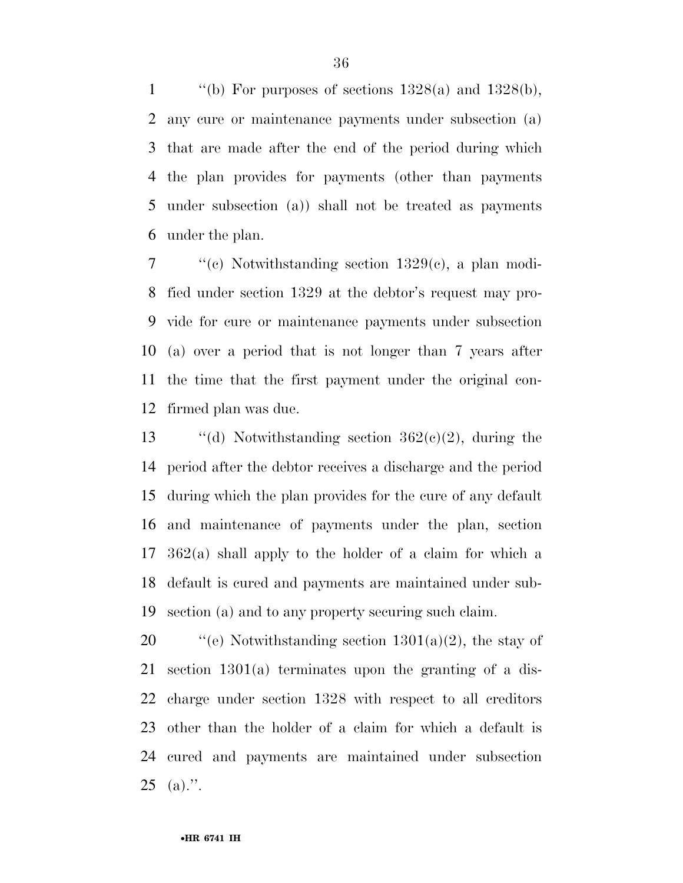$\qquad$  "(b) For purposes of sections 1328(a) and 1328(b), any cure or maintenance payments under subsection (a) that are made after the end of the period during which the plan provides for payments (other than payments under subsection (a)) shall not be treated as payments under the plan.

 ''(c) Notwithstanding section 1329(c), a plan modi- fied under section 1329 at the debtor's request may pro- vide for cure or maintenance payments under subsection (a) over a period that is not longer than 7 years after the time that the first payment under the original con-firmed plan was due.

 $\qquad$  "(d) Notwithstanding section 362(c)(2), during the period after the debtor receives a discharge and the period during which the plan provides for the cure of any default and maintenance of payments under the plan, section 362(a) shall apply to the holder of a claim for which a default is cured and payments are maintained under sub-section (a) and to any property securing such claim.

 $\frac{120}{100}$  ''(e) Notwithstanding section 1301(a)(2), the stay of section 1301(a) terminates upon the granting of a dis- charge under section 1328 with respect to all creditors other than the holder of a claim for which a default is cured and payments are maintained under subsection (a).".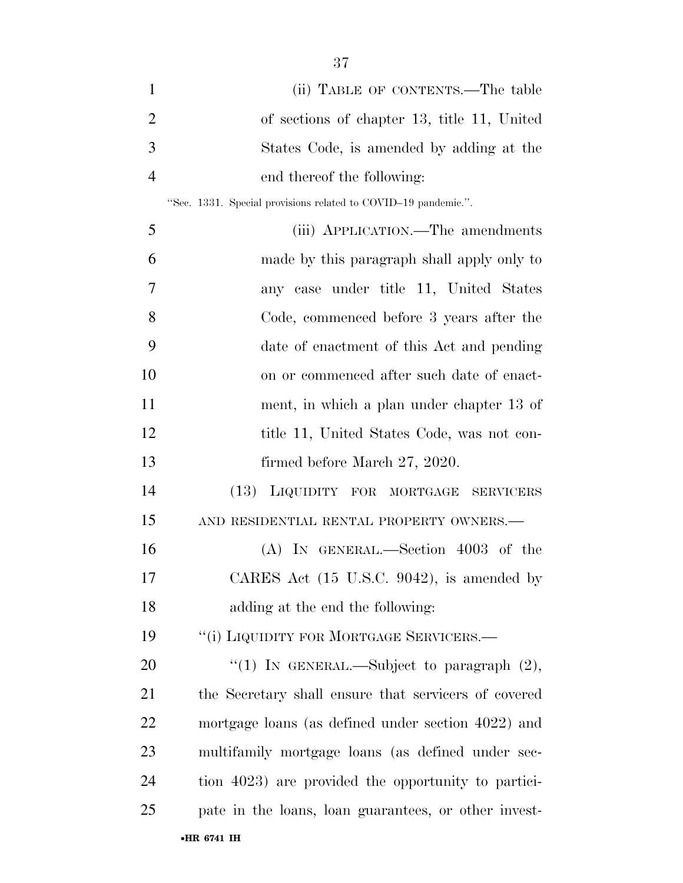| $\mathbf{1}$   | (ii) TABLE OF CONTENTS.—The table                              |
|----------------|----------------------------------------------------------------|
| $\overline{2}$ | of sections of chapter 13, title 11, United                    |
| 3              | States Code, is amended by adding at the                       |
| $\overline{4}$ | end thereof the following:                                     |
|                | "Sec. 1331. Special provisions related to COVID-19 pandemic.". |
| 5              | (iii) APPLICATION.—The amendments                              |
| 6              | made by this paragraph shall apply only to                     |
| 7              | any case under title 11, United States                         |
| 8              | Code, commenced before 3 years after the                       |
| 9              | date of enactment of this Act and pending                      |
| 10             | on or commenced after such date of enact-                      |
| 11             | ment, in which a plan under chapter 13 of                      |
| 12             | title 11, United States Code, was not con-                     |
| 13             | firmed before March 27, 2020.                                  |
| 14             | (13) LIQUIDITY FOR MORTGAGE<br>SERVICERS                       |
| 15             | AND RESIDENTIAL RENTAL PROPERTY OWNERS.-                       |
| 16             | $(A)$ In GENERAL.—Section 4003 of the                          |
| 17             | CARES Act (15 U.S.C. 9042), is amended by                      |
| 18             | adding at the end the following:                               |
| 19             | "(i) LIQUIDITY FOR MORTGAGE SERVICERS.—                        |
| 20             | "(1) IN GENERAL.—Subject to paragraph $(2)$ ,                  |
| 21             | the Secretary shall ensure that servicers of covered           |
| 22             | mortgage loans (as defined under section 4022) and             |
| 23             | multifamily mortgage loans (as defined under sec-              |
| 24             | tion 4023) are provided the opportunity to partici-            |
| 25             | pate in the loans, loan guarantees, or other invest-           |
|                | •HR 6741 IH                                                    |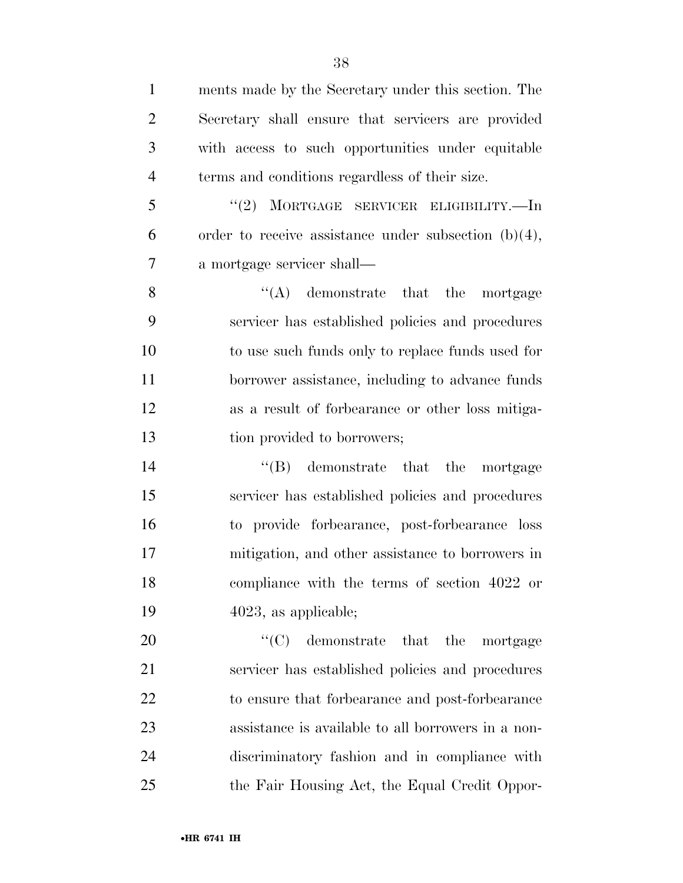| $\mathbf{1}$   | ments made by the Secretary under this section. The     |
|----------------|---------------------------------------------------------|
| $\overline{2}$ | Secretary shall ensure that servicers are provided      |
| 3              | with access to such opportunities under equitable       |
| $\overline{4}$ | terms and conditions regardless of their size.          |
| 5              | "(2) MORTGAGE SERVICER ELIGIBILITY.—In                  |
| 6              | order to receive assistance under subsection $(b)(4)$ , |
| 7              | a mortgage servicer shall—                              |
| 8              | $\lq\lq$ demonstrate that the mortgage                  |
| 9              | servicer has established policies and procedures        |
| 10             | to use such funds only to replace funds used for        |
| 11             | borrower assistance, including to advance funds         |
| 12             | as a result of forbearance or other loss mitiga-        |
| 13             | tion provided to borrowers;                             |
| 14             | $\lq\lq(B)$ demonstrate that the mortgage               |
| 15             | servicer has established policies and procedures        |
| 16             | to provide forbearance, post-forbearance loss           |
| 17             | mitigation, and other assistance to borrowers in        |
| 18             | compliance with the terms of section 4022 or            |
| 19             | $4023$ , as applicable;                                 |
| 20             | $\lq\lq$ (C) demonstrate that the<br>mortgage           |
| 21             | servicer has established policies and procedures        |
| 22             | to ensure that forbearance and post-forbearance         |
| 23             | assistance is available to all borrowers in a non-      |
| 24             | discriminatory fashion and in compliance with           |
| 25             | the Fair Housing Act, the Equal Credit Oppor-           |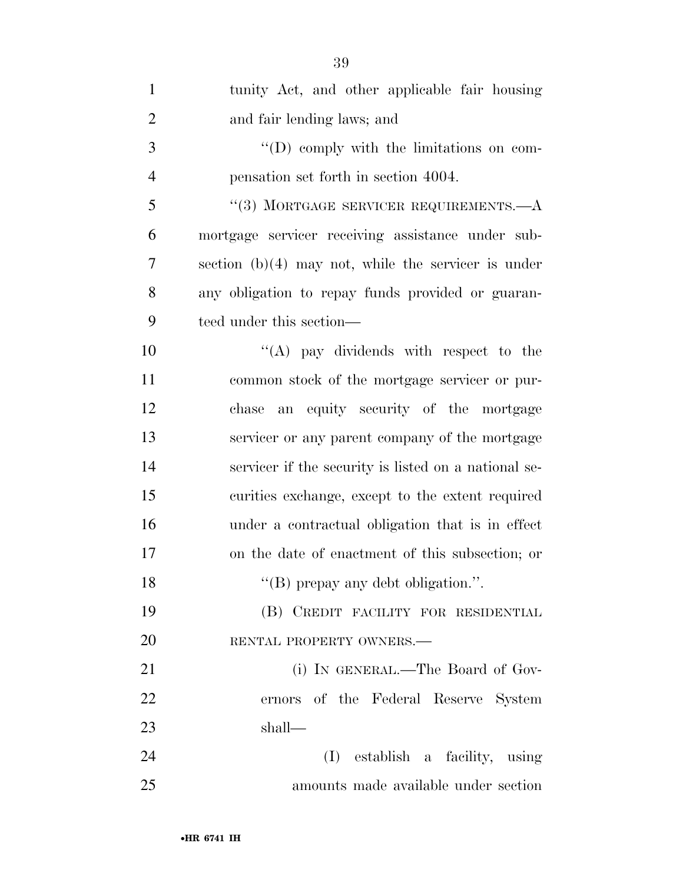| $\mathbf{1}$   | tunity Act, and other applicable fair housing         |
|----------------|-------------------------------------------------------|
| $\overline{2}$ | and fair lending laws; and                            |
| 3              | "(D) comply with the limitations on com-              |
| $\overline{4}$ | pensation set forth in section 4004.                  |
| 5              | "(3) MORTGAGE SERVICER REQUIREMENTS.— $A$             |
| 6              | mortgage servicer receiving assistance under sub-     |
| 7              | section $(b)(4)$ may not, while the servicer is under |
| 8              | any obligation to repay funds provided or guaran-     |
| 9              | teed under this section—                              |
| 10             | "(A) pay dividends with respect to the                |
| 11             | common stock of the mortgage servicer or pur-         |
| 12             | an equity security of the mortgage<br>chase           |
| 13             | servicer or any parent company of the mortgage        |
| 14             | servicer if the security is listed on a national se-  |
| 15             | curities exchange, except to the extent required      |
| 16             | under a contractual obligation that is in effect      |
| 17             | on the date of enactment of this subsection; or       |
| 18             | "(B) prepay any debt obligation.".                    |
| 19             | (B) CREDIT FACILITY FOR RESIDENTIAL                   |
| 20             | RENTAL PROPERTY OWNERS.-                              |
| 21             | (i) IN GENERAL.—The Board of Gov-                     |
| 22             | ernors of the Federal Reserve System                  |
| 23             | shall—                                                |
| 24             | (I) establish a facility, using                       |
| 25             | amounts made available under section                  |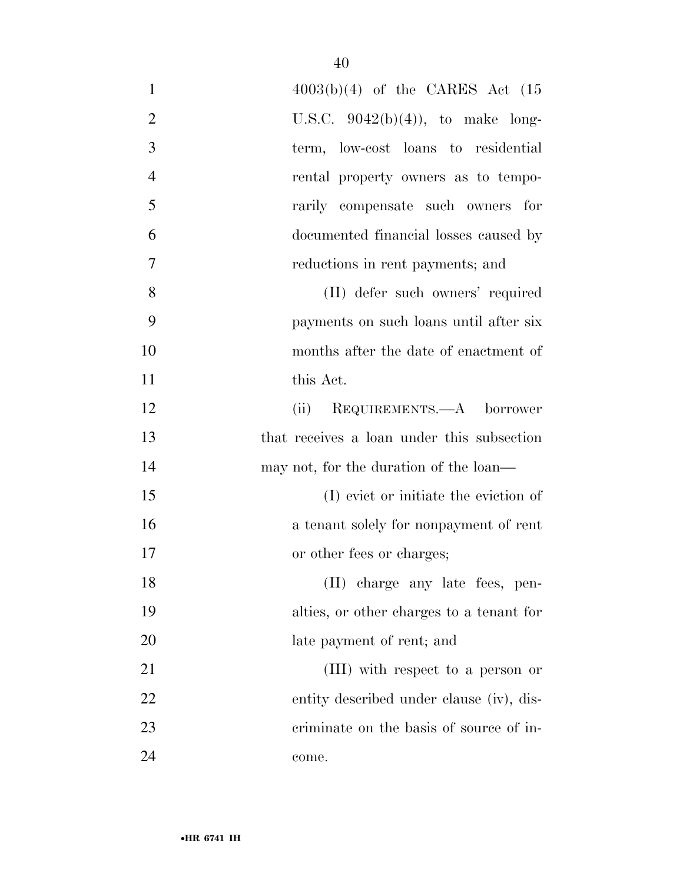| $\mathbf{1}$   | $4003(b)(4)$ of the CARES Act $(15)$       |
|----------------|--------------------------------------------|
| $\overline{2}$ | U.S.C. $9042(b)(4)$ , to make long-        |
| 3              | term, low-cost loans to residential        |
| $\overline{4}$ | rental property owners as to tempo-        |
| 5              | rarily compensate such owners for          |
| 6              | documented financial losses caused by      |
| 7              | reductions in rent payments; and           |
| 8              | (II) defer such owners' required           |
| 9              | payments on such loans until after six     |
| 10             | months after the date of enactment of      |
| 11             | this Act.                                  |
| 12             | (ii) REQUIREMENTS.—A borrower              |
| 13             | that receives a loan under this subsection |
| 14             | may not, for the duration of the loan—     |
| 15             | (I) evict or initiate the eviction of      |
| 16             | a tenant solely for nonpayment of rent     |
| 17             | or other fees or charges;                  |
| 18             | (II) charge any late fees, pen-            |
| 19             | alties, or other charges to a tenant for   |
| 20             | late payment of rent; and                  |
| 21             | (III) with respect to a person or          |
| 22             | entity described under clause (iv), dis-   |
| 23             | criminate on the basis of source of in-    |
| 24             | come.                                      |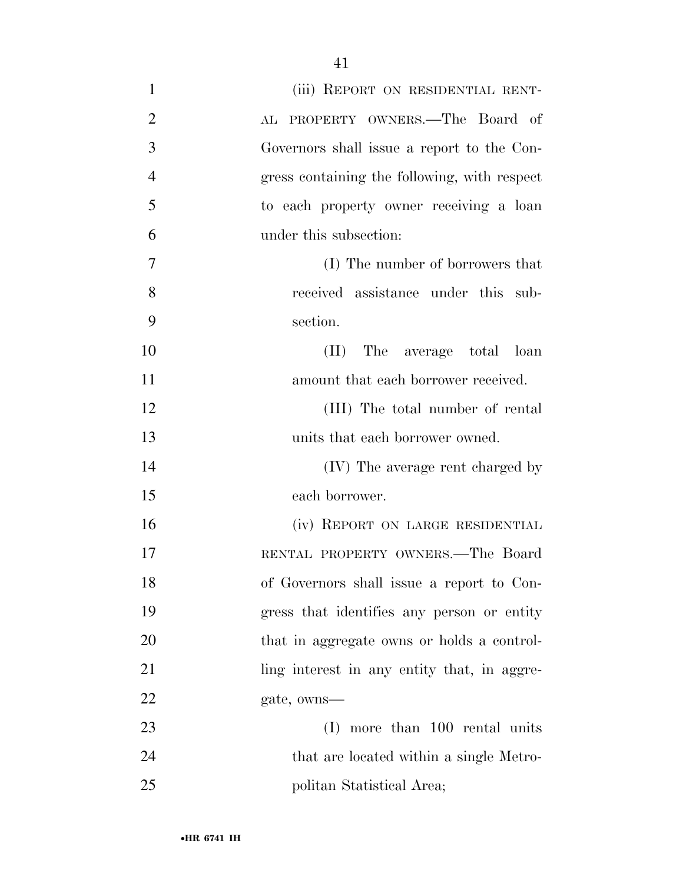| $\mathbf{1}$   | (iii) REPORT ON RESIDENTIAL RENT-            |
|----------------|----------------------------------------------|
| $\overline{2}$ | AL PROPERTY OWNERS. The Board of             |
| 3              | Governors shall issue a report to the Con-   |
| $\overline{4}$ | gress containing the following, with respect |
| 5              | to each property owner receiving a loan      |
| 6              | under this subsection:                       |
| 7              | (I) The number of borrowers that             |
| 8              | received assistance under this sub-          |
| 9              | section.                                     |
| 10             | (II) The average total loan                  |
| 11             | amount that each borrower received.          |
| 12             | (III) The total number of rental             |
| 13             | units that each borrower owned.              |
| 14             | (IV) The average rent charged by             |
| 15             | each borrower.                               |
| 16             | (iv) REPORT ON LARGE RESIDENTIAL             |
| 17             | RENTAL PROPERTY OWNERS.—The Board            |
| 18             | of Governors shall issue a report to Con-    |
| 19             | gress that identifies any person or entity   |
| 20             | that in aggregate owns or holds a control-   |
| 21             | ling interest in any entity that, in aggre-  |
| 22             | gate, owns—                                  |
| 23             | (I) more than 100 rental units               |
| 24             | that are located within a single Metro-      |
| 25             | politan Statistical Area;                    |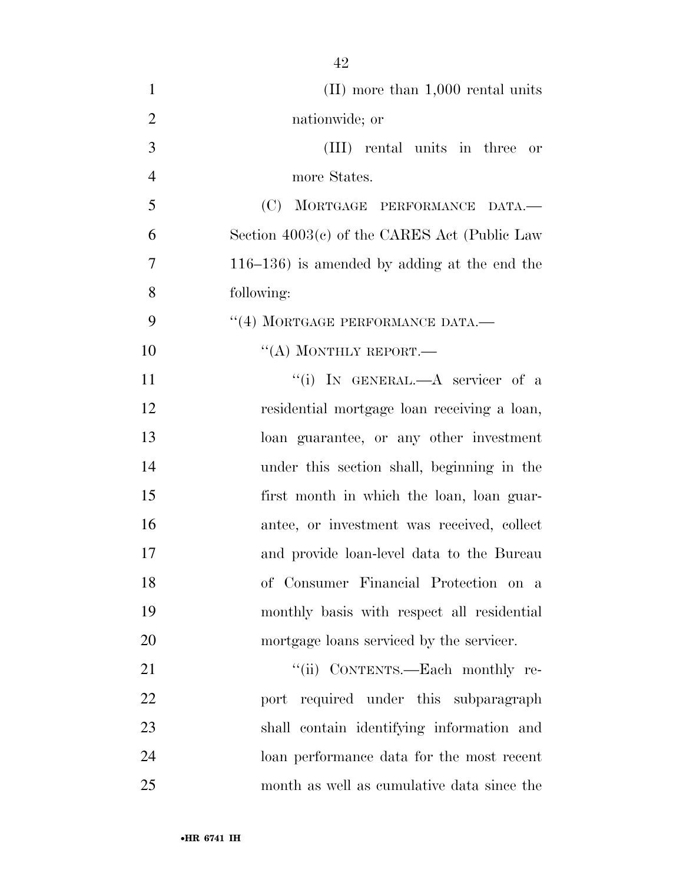| $\mathbf{1}$   | $(II)$ more than 1,000 rental units             |
|----------------|-------------------------------------------------|
| $\overline{2}$ | nationwide; or                                  |
| 3              | (III) rental units in three<br>or               |
| $\overline{4}$ | more States.                                    |
| 5              | (C) MORTGAGE PERFORMANCE DATA.                  |
| 6              | Section $4003(c)$ of the CARES Act (Public Law  |
| 7              | $116-136$ ) is amended by adding at the end the |
| 8              | following:                                      |
| 9              | "(4) MORTGAGE PERFORMANCE DATA.-                |
| 10             | $``(A)$ MONTHLY REPORT.—                        |
| 11             | "(i) IN GENERAL.—A servicer of a                |
| 12             | residential mortgage loan receiving a loan,     |
| 13             | loan guarantee, or any other investment         |
| 14             | under this section shall, beginning in the      |
| 15             | first month in which the loan, loan guar-       |
| 16             | antee, or investment was received, collect      |
| 17             | and provide loan-level data to the Bureau       |
| 18             | of Consumer Financial Protection on a           |
| 19             | monthly basis with respect all residential      |
| 20             | mortgage loans serviced by the servicer.        |
| 21             | "(ii) CONTENTS.—Each monthly re-                |
| 22             | port required under this subparagraph           |
| 23             | shall contain identifying information and       |
| 24             | loan performance data for the most recent       |

month as well as cumulative data since the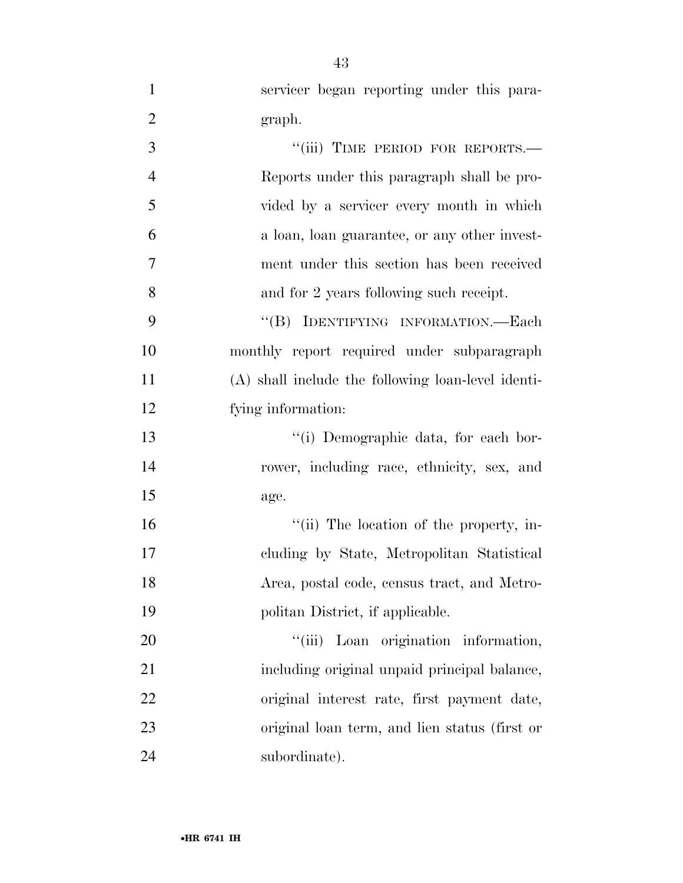| $\mathbf{1}$   | servicer began reporting under this para-          |
|----------------|----------------------------------------------------|
| $\overline{2}$ | graph.                                             |
| 3              | "(iii) TIME PERIOD FOR REPORTS.-                   |
| $\overline{4}$ | Reports under this paragraph shall be pro-         |
| 5              | vided by a servicer every month in which           |
| 6              | a loan, loan guarantee, or any other invest-       |
| 7              | ment under this section has been received          |
| 8              | and for 2 years following such receipt.            |
| 9              | "(B) IDENTIFYING INFORMATION.—Each                 |
| 10             | monthly report required under subparagraph         |
| 11             | (A) shall include the following loan-level identi- |
| 12             | fying information:                                 |
| 13             | "(i) Demographic data, for each bor-               |
| 14             | rower, including race, ethnicity, sex, and         |
| 15             | age.                                               |
| 16             | "(ii) The location of the property, in-            |
| 17             | cluding by State, Metropolitan Statistical         |
| 18             | Area, postal code, census tract, and Metro-        |
| 19             | politan District, if applicable.                   |
| 20             | "(iii) Loan origination information,               |
| 21             | including original unpaid principal balance,       |
| 22             | original interest rate, first payment date,        |
| 23             | original loan term, and lien status (first or      |
| 24             | subordinate).                                      |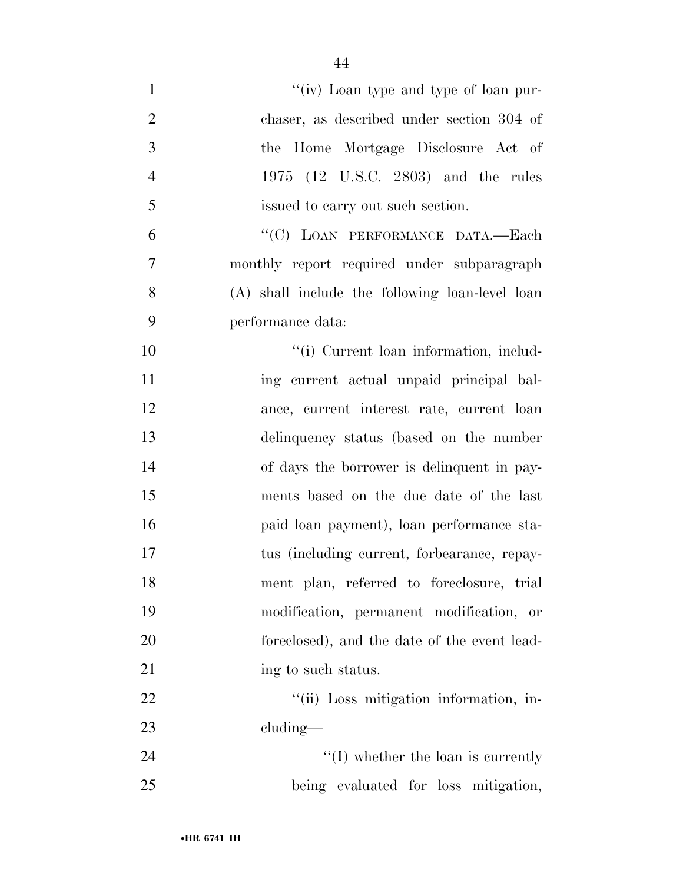| $\mathbf{1}$   | "(iv) Loan type and type of loan pur-           |
|----------------|-------------------------------------------------|
| $\overline{2}$ | chaser, as described under section 304 of       |
| 3              | the Home Mortgage Disclosure Act of             |
| $\overline{4}$ | 1975 (12 U.S.C. 2803) and the rules             |
| 5              | issued to carry out such section.               |
| 6              | "(C) LOAN PERFORMANCE DATA.-Each                |
| $\overline{7}$ | monthly report required under subparagraph      |
| 8              | (A) shall include the following loan-level loan |
| 9              | performance data:                               |
| 10             | "(i) Current loan information, includ-          |
| 11             | ing current actual unpaid principal bal-        |
| 12             | ance, current interest rate, current loan       |
| 13             | delinquency status (based on the number         |
| 14             | of days the borrower is delinquent in pay-      |
| 15             | ments based on the due date of the last         |
| 16             | paid loan payment), loan performance sta-       |
| 17             | tus (including current, forbearance, repay-     |
| 18             | ment plan, referred to foreclosure, trial       |
| 19             | modification, permanent modification, or        |
| 20             | foreclosed), and the date of the event lead-    |
| 21             | ing to such status.                             |
| 22             | "(ii) Loss mitigation information, in-          |
| 23             | $cluding$ —                                     |
| 24             | $\lq\lq$ (I) whether the loan is currently      |
| 25             | being evaluated for loss mitigation,            |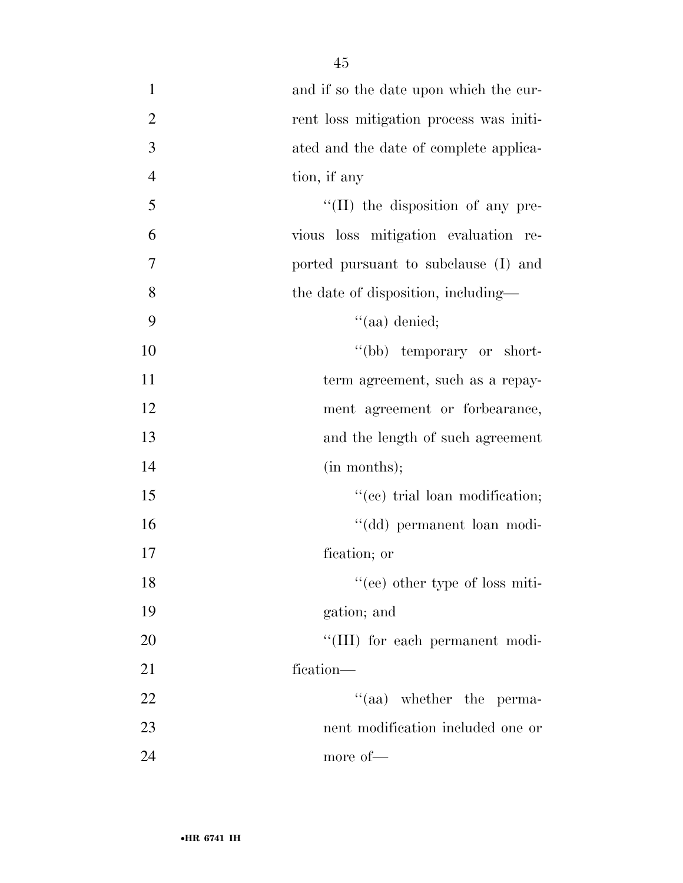| $\mathbf{1}$   | and if so the date upon which the cur-    |
|----------------|-------------------------------------------|
| $\overline{2}$ | rent loss mitigation process was initi-   |
| 3              | ated and the date of complete applica-    |
| $\overline{4}$ | tion, if any                              |
| 5              | $\lq\lq$ (II) the disposition of any pre- |
| 6              | vious loss mitigation evaluation re-      |
| 7              | ported pursuant to subclause (I) and      |
| 8              | the date of disposition, including—       |
| 9              | $``(aa)$ denied;                          |
| 10             | "(bb) temporary or short-                 |
| 11             | term agreement, such as a repay-          |
| 12             | ment agreement or forbearance,            |
| 13             | and the length of such agreement          |
| 14             | (in months);                              |
| 15             | "(ee) trial loan modification;            |
| 16             | "(dd) permanent loan modi-                |
| 17             | fication; or                              |
| 18             | "(ee) other type of loss miti-            |
| 19             | gation; and                               |
| 20             | "(III) for each permanent modi-           |
| 21             | fication—                                 |
| 22             | $\cdot$ (aa) whether the perma-           |
| 23             | nent modification included one or         |
| 24             | more of-                                  |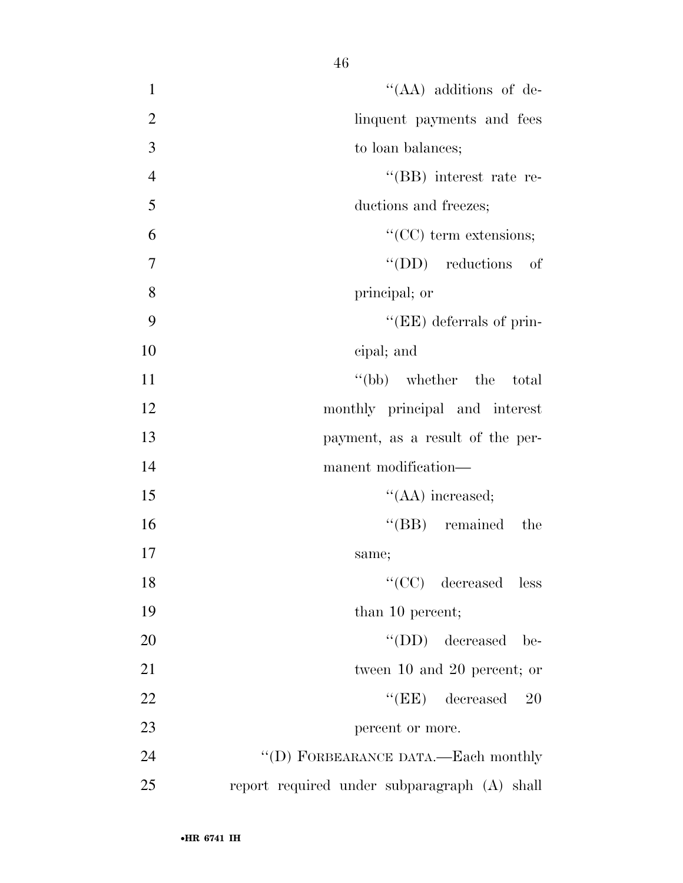1 ''(AA) additions of de-2 linquent payments and fees 3 to loan balances; 4 ''(BB) interest rate re-5 ductions and freezes; 6 ''(CC) term extensions; 7 ''(DD) reductions of 8 principal; or 9 ''(EE) deferrals of prin-10 cipal; and 11 ''(bb) whether the total 12 monthly principal and interest 13 payment, as a result of the per-14 manufacturer modification— 15 ''(AA) increased; 16 ''(BB) remained the 17 same; 18 ''(CC) decreased less 19 than 10 percent; 20  $\text{``(DD)}$  decreased be-21 tween 10 and 20 percent; or 22 ''(EE) decreased 20 23 percent or more. 24 "(D) FORBEARANCE DATA.—Each monthly

25 report required under subparagraph (A) shall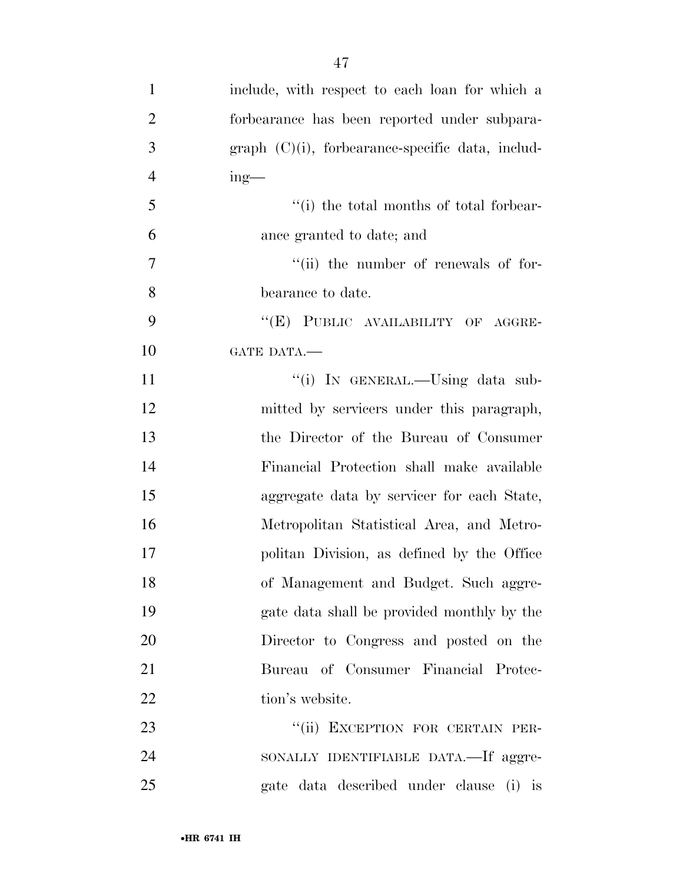| $\mathbf{1}$   | include, with respect to each loan for which a      |
|----------------|-----------------------------------------------------|
| $\overline{2}$ | forbearance has been reported under subpara-        |
| 3              | $graph (C)(i)$ , forbearance-specific data, includ- |
| $\overline{4}$ | $ing$ —                                             |
| 5              | "(i) the total months of total forbear-             |
| 6              | ance granted to date; and                           |
| 7              | "(ii) the number of renewals of for-                |
| 8              | bearance to date.                                   |
| 9              | "(E) PUBLIC AVAILABILITY OF AGGRE-                  |
| 10             | GATE DATA.                                          |
| 11             | "(i) IN GENERAL.—Using data sub-                    |
| 12             | mitted by servicers under this paragraph,           |
| 13             | the Director of the Bureau of Consumer              |
| 14             | Financial Protection shall make available           |
| 15             | aggregate data by servicer for each State,          |
| 16             | Metropolitan Statistical Area, and Metro-           |
| 17             | politan Division, as defined by the Office          |
| 18             | of Management and Budget. Such aggre-               |
| 19             | gate data shall be provided monthly by the          |
| 20             | Director to Congress and posted on the              |
| 21             | Bureau of Consumer Financial Protec-                |
| 22             | tion's website.                                     |
| 23             | "(ii) EXCEPTION FOR CERTAIN PER-                    |
| 24             | SONALLY IDENTIFIABLE DATA.—If aggre-                |
| 25             | gate data described under clause (i) is             |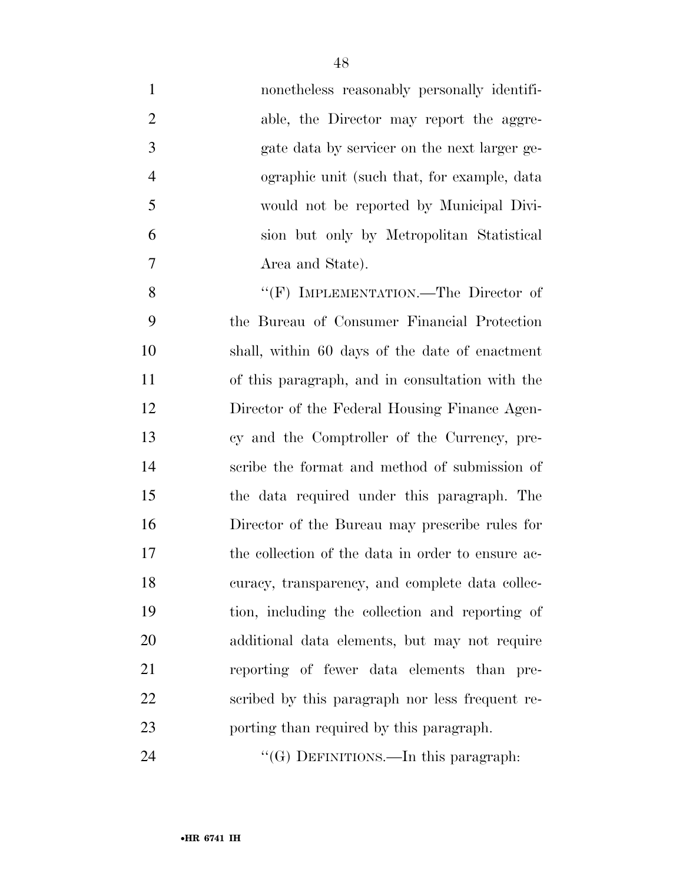| $\mathbf{1}$   | nonetheless reasonably personally identifi-       |
|----------------|---------------------------------------------------|
| $\overline{2}$ | able, the Director may report the aggre-          |
| 3              | gate data by servicer on the next larger ge-      |
| $\overline{4}$ | ographic unit (such that, for example, data       |
| 5              | would not be reported by Municipal Divi-          |
| 6              | sion but only by Metropolitan Statistical         |
| 7              | Area and State).                                  |
| 8              | "(F) IMPLEMENTATION.—The Director of              |
| 9              | the Bureau of Consumer Financial Protection       |
| 10             | shall, within 60 days of the date of enactment    |
| 11             | of this paragraph, and in consultation with the   |
| 12             | Director of the Federal Housing Finance Agen-     |
| 13             | cy and the Comptroller of the Currency, pre-      |
| 14             | scribe the format and method of submission of     |
| 15             | the data required under this paragraph. The       |
| 16             | Director of the Bureau may prescribe rules for    |
| 17             | the collection of the data in order to ensure ac- |
| 18             | curacy, transparency, and complete data collec-   |
| 19             | tion, including the collection and reporting of   |
| 20             | additional data elements, but may not require     |
| 21             | reporting of fewer data elements than pre-        |
| 22             | scribed by this paragraph nor less frequent re-   |
| 23             | porting than required by this paragraph.          |
| 24             | "(G) DEFINITIONS.—In this paragraph:              |